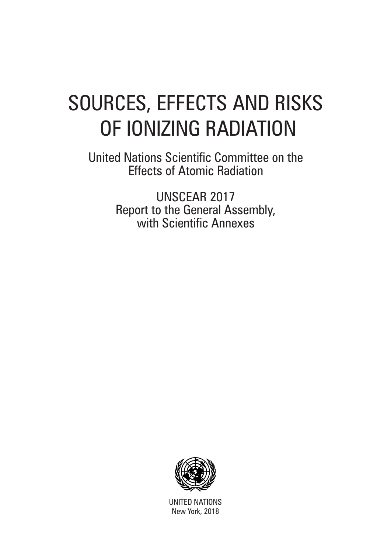# SOURCES, EFFECTS AND RISKS OF IONIZING RADIATION

United Nations Scientific Committee on the Effects of Atomic Radiation

> UNSCEAR 2017 Report to the General Assembly, with Scientific Annexes



UNITED NATIONS New York, 2018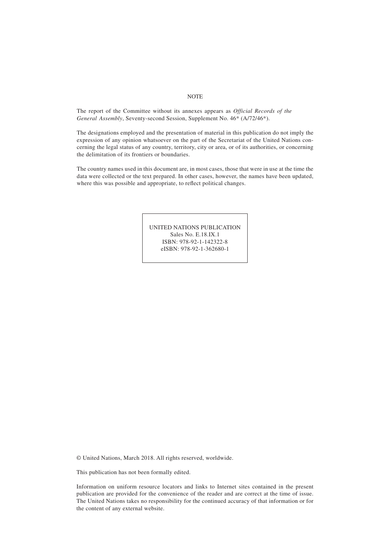#### **NOTE**

The report of the Committee without its annexes appears as *Official Records of the General Assembly*, Seventy‑second Session, Supplement No. 46\* (A/72/46\*).

The designations employed and the presentation of material in this publication do not imply the expression of any opinion whatsoever on the part of the Secretariat of the United Nations concerning the legal status of any country, territory, city or area, or of its authorities, or concerning the delimitation of its frontiers or boundaries.

The country names used in this document are, in most cases, those that were in use at the time the data were collected or the text prepared. In other cases, however, the names have been updated, where this was possible and appropriate, to reflect political changes.

> UNITED NATIONS PUBLICATION Sales No. E.18.IX.1 ISBN: 978-92-1-142322-8 eISBN: 978-92-1-362680-1

© United Nations, March 2018. All rights reserved, worldwide.

This publication has not been formally edited.

Information on uniform resource locators and links to Internet sites contained in the present publication are provided for the convenience of the reader and are correct at the time of issue. The United Nations takes no responsibility for the continued accuracy of that information or for the content of any external website.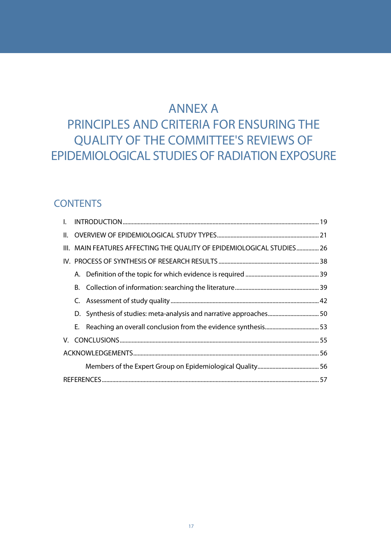# ANNEX A

# PRINCIPLES AND CRITERIA FOR ENSURING THE QUALITY OF THE COMMITTEE'S REVIEWS OF EPIDEMIOLOGICAL STUDIES OF RADIATION EXPOSURE

# **CONTENTS**

| I. |  |                                                                        |  |  |  |  |  |
|----|--|------------------------------------------------------------------------|--|--|--|--|--|
|    |  |                                                                        |  |  |  |  |  |
|    |  | III. MAIN FEATURES AFFECTING THE QUALITY OF EPIDEMIOLOGICAL STUDIES 26 |  |  |  |  |  |
|    |  |                                                                        |  |  |  |  |  |
|    |  |                                                                        |  |  |  |  |  |
|    |  |                                                                        |  |  |  |  |  |
|    |  |                                                                        |  |  |  |  |  |
|    |  | D. Synthesis of studies: meta-analysis and narrative approaches 50     |  |  |  |  |  |
|    |  |                                                                        |  |  |  |  |  |
|    |  |                                                                        |  |  |  |  |  |
|    |  |                                                                        |  |  |  |  |  |
|    |  |                                                                        |  |  |  |  |  |
|    |  |                                                                        |  |  |  |  |  |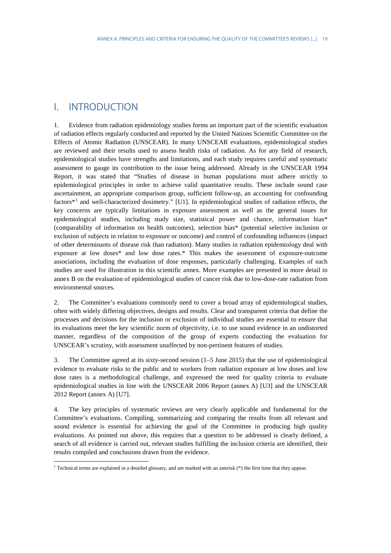# <span id="page-4-0"></span>I. INTRODUCTION

 $\overline{a}$ 

1. Evidence from radiation epidemiology studies forms an important part of the scientific evaluation of radiation effects regularly conducted and reported by the United Nations Scientific Committee on the Effects of Atomic Radiation (UNSCEAR). In many UNSCEAR evaluations, epidemiological studies are reviewed and their results used to assess health risks of radiation. As for any field of research, epidemiological studies have strengths and limitations, and each study requires careful and systematic assessment to gauge its contribution to the issue being addressed. Already in the UNSCEAR 1994 Report, it was stated that "Studies of disease in human populations must adhere strictly to epidemiological principles in order to achieve valid quantitative results. These include sound case ascertainment, an appropriate comparison group, sufficient follow-up, an accounting for confounding factors\*[1](#page-4-1) and well-characterized dosimetry." [U1]. In epidemiological studies of radiation effects, the key concerns are typically limitations in exposure assessment as well as the general issues for epidemiological studies, including study size, statistical power and chance, information bias\* (comparability of information on health outcomes), selection bias\* (potential selective inclusion or exclusion of subjects in relation to exposure or outcome) and control of confounding influences (impact of other determinants of disease risk than radiation). Many studies in radiation epidemiology deal with exposure at low doses\* and low dose rates.\* This makes the assessment of exposure-outcome associations, including the evaluation of dose responses, particularly challenging. Examples of such studies are used for illustration in this scientific annex. More examples are presented in more detail in annex B on the evaluation of epidemiological studies of cancer risk due to low-dose-rate radiation from environmental sources.

2. The Committee's evaluations commonly need to cover a broad array of epidemiological studies, often with widely differing objectives, designs and results. Clear and transparent criteria that define the processes and decisions for the inclusion or exclusion of individual studies are essential to ensure that its evaluations meet the key scientific norm of objectivity, i.e. to use sound evidence in an undistorted manner, regardless of the composition of the group of experts conducting the evaluation for UNSCEAR's scrutiny, with assessment unaffected by non-pertinent features of studies.

3. The Committee agreed at its sixty-second session (1–5 June 2015) that the use of epidemiological evidence to evaluate risks to the public and to workers from radiation exposure at low doses and low dose rates is a methodological challenge, and expressed the need for quality criteria to evaluate epidemiological studies in line with the UNSCEAR 2006 Report (annex A) [U3] and the UNSCEAR 2012 Report (annex A) [U7].

4. The key principles of systematic reviews are very clearly applicable and fundamental for the Committee's evaluations. Compiling, summarizing and comparing the results from all relevant and sound evidence is essential for achieving the goal of the Committee in producing high quality evaluations. As pointed out above, this requires that a question to be addressed is clearly defined, a search of all evidence is carried out, relevant studies fulfilling the inclusion criteria are identified, their results compiled and conclusions drawn from the evidence.

<span id="page-4-1"></span><sup>1</sup> Technical terms are explained in a detailed glossary, and are marked with an asterisk (\*) the first time that they appear.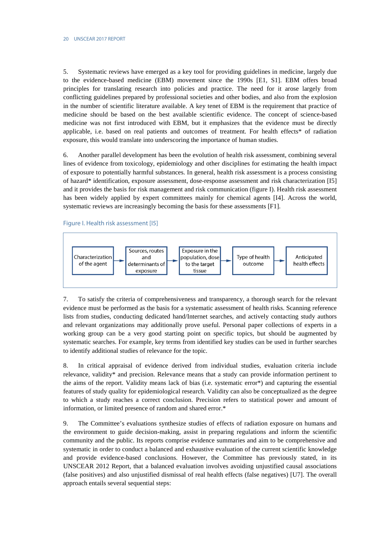5. Systematic reviews have emerged as a key tool for providing guidelines in medicine, largely due to the evidence-based medicine (EBM) movement since the 1990s [E1, S1]. EBM offers broad principles for translating research into policies and practice. The need for it arose largely from conflicting guidelines prepared by professional societies and other bodies, and also from the explosion in the number of scientific literature available. A key tenet of EBM is the requirement that practice of medicine should be based on the best available scientific evidence. The concept of science-based medicine was not first introduced with EBM, but it emphasizes that the evidence must be directly applicable, i.e. based on real patients and outcomes of treatment. For health effects\* of radiation exposure, this would translate into underscoring the importance of human studies.

6. Another parallel development has been the evolution of health risk assessment, combining several lines of evidence from toxicology, epidemiology and other disciplines for estimating the health impact of exposure to potentially harmful substances. In general, health risk assessment is a process consisting of hazard\* identification, exposure assessment, dose-response assessment and risk characterization [I5] and it provides the basis for risk management and risk communication (figure I). Health risk assessment has been widely applied by expert committees mainly for chemical agents [I4]. Across the world, systematic reviews are increasingly becoming the basis for these assessments [F1].

Figure I. Health risk assessment [I5]



7. To satisfy the criteria of comprehensiveness and transparency, a thorough search for the relevant evidence must be performed as the basis for a systematic assessment of health risks. Scanning reference lists from studies, conducting dedicated hand/Internet searches, and actively contacting study authors and relevant organizations may additionally prove useful. Personal paper collections of experts in a working group can be a very good starting point on specific topics, but should be augmented by systematic searches. For example, key terms from identified key studies can be used in further searches to identify additional studies of relevance for the topic.

8. In critical appraisal of evidence derived from individual studies, evaluation criteria include relevance, validity\* and precision. Relevance means that a study can provide information pertinent to the aims of the report. Validity means lack of bias (i.e. systematic error\*) and capturing the essential features of study quality for epidemiological research. Validity can also be conceptualized as the degree to which a study reaches a correct conclusion. Precision refers to statistical power and amount of information, or limited presence of random and shared error.\*

9. The Committee's evaluations synthesize studies of effects of radiation exposure on humans and the environment to guide decision-making, assist in preparing regulations and inform the scientific community and the public. Its reports comprise evidence summaries and aim to be comprehensive and systematic in order to conduct a balanced and exhaustive evaluation of the current scientific knowledge and provide evidence-based conclusions. However, the Committee has previously stated, in its UNSCEAR 2012 Report, that a balanced evaluation involves avoiding unjustified causal associations (false positives) and also unjustified dismissal of real health effects (false negatives) [U7]. The overall approach entails several sequential steps: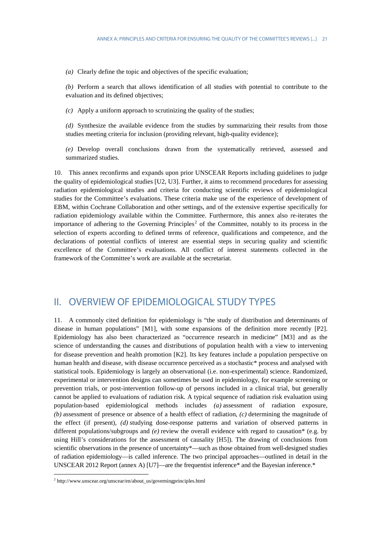*(a)* Clearly define the topic and objectives of the specific evaluation;

*(b)* Perform a search that allows identification of all studies with potential to contribute to the evaluation and its defined objectives;

*(c)* Apply a uniform approach to scrutinizing the quality of the studies;

*(d)* Synthesize the available evidence from the studies by summarizing their results from those studies meeting criteria for inclusion (providing relevant, high-quality evidence);

<span id="page-6-2"></span>*(e)* Develop overall conclusions drawn from the systematically retrieved, assessed and summarized studies.

10. This annex reconfirms and expands upon prior UNSCEAR Reports including guidelines to judge the quality of epidemiological studies [U2, U3]. Further, it aims to recommend procedures for assessing radiation epidemiological studies and criteria for conducting scientific reviews of epidemiological studies for the Committee's evaluations. These criteria make use of the experience of development of EBM, within Cochrane Collaboration and other settings, and of the extensive expertise specifically for radiation epidemiology available within the Committee. Furthermore, this annex also re-iterates the importance of adhering to the Governing Principles<sup>[2](#page-6-1)</sup> of the Committee, notably to its process in the selection of experts according to defined terms of reference, qualifications and competence, and the declarations of potential conflicts of interest are essential steps in securing quality and scientific excellence of the Committee's evaluations. All conflict of interest statements collected in the framework of the Committee's work are available at the secretariat.

# <span id="page-6-0"></span>II. OVERVIEW OF EPIDEMIOLOGICAL STUDY TYPES

11. A commonly cited definition for epidemiology is "the study of distribution and determinants of disease in human populations" [M1], with some expansions of the definition more recently [P2]. Epidemiology has also been characterized as "occurrence research in medicine" [M3] and as the science of understanding the causes and distributions of population health with a view to intervening for disease prevention and health promotion [K2]. Its key features include a population perspective on human health and disease, with disease occurrence perceived as a stochastic\* process and analysed with statistical tools. Epidemiology is largely an observational (i.e. non-experimental) science. Randomized, experimental or intervention designs can sometimes be used in epidemiology, for example screening or prevention trials, or post-intervention follow-up of persons included in a clinical trial, but generally cannot be applied to evaluations of radiation risk. A typical sequence of radiation risk evaluation using population-based epidemiological methods includes *(a)* assessment of radiation exposure, *(b)* assessment of presence or absence of a health effect of radiation, *(c)* determining the magnitude of the effect (if present), *(d)* studying dose-response patterns and variation of observed patterns in different populations/subgroups and *(e)* review the overall evidence with regard to causation\* (e.g. by using Hill's considerations for the assessment of causality [H5]). The drawing of conclusions from scientific observations in the presence of uncertainty\*—such as those obtained from well-designed studies of radiation epidemiology—is called inference. The two principal approaches—outlined in detail in the UNSCEAR 2012 Report (annex A) [U7]—are the frequentist inference\* and the Bayesian inference.\*

 $\overline{a}$ 

<span id="page-6-1"></span><sup>2</sup> http://www.unscear.org/unscear/en/about\_us/governingprinciples.html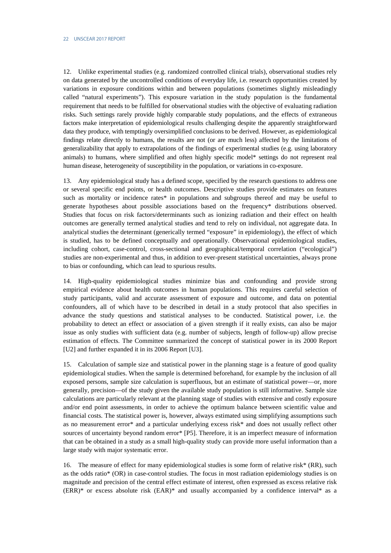12. Unlike experimental studies (e.g. randomized controlled clinical trials), observational studies rely on data generated by the uncontrolled conditions of everyday life, i.e. research opportunities created by variations in exposure conditions within and between populations (sometimes slightly misleadingly called "natural experiments"). This exposure variation in the study population is the fundamental requirement that needs to be fulfilled for observational studies with the objective of evaluating radiation risks. Such settings rarely provide highly comparable study populations, and the effects of extraneous factors make interpretation of epidemiological results challenging despite the apparently straightforward data they produce, with temptingly oversimplified conclusions to be derived. However, as epidemiological findings relate directly to humans, the results are not (or are much less) affected by the limitations of generalizability that apply to extrapolations of the findings of experimental studies (e.g. using laboratory animals) to humans, where simplified and often highly specific model\* settings do not represent real human disease, heterogeneity of susceptibility in the population, or variations in co-exposure.

13. Any epidemiological study has a defined scope, specified by the research questions to address one or several specific end points, or health outcomes. Descriptive studies provide estimates on features such as mortality or incidence rates\* in populations and subgroups thereof and may be useful to generate hypotheses about possible associations based on the frequency\* distributions observed. Studies that focus on risk factors/determinants such as ionizing radiation and their effect on health outcomes are generally termed analytical studies and tend to rely on individual, not aggregate data. In analytical studies the determinant (generically termed "exposure" in epidemiology), the effect of which is studied, has to be defined conceptually and operationally. Observational epidemiological studies, including cohort, case-control, cross-sectional and geographical/temporal correlation ("ecological") studies are non-experimental and thus, in addition to ever-present statistical uncertainties, always prone to bias or confounding, which can lead to spurious results.

14. High-quality epidemiological studies minimize bias and confounding and provide strong empirical evidence about health outcomes in human populations. This requires careful selection of study participants, valid and accurate assessment of exposure and outcome, and data on potential confounders, all of which have to be described in detail in a study protocol that also specifies in advance the study questions and statistical analyses to be conducted. Statistical power, i.e. the probability to detect an effect or association of a given strength if it really exists, can also be major issue as only studies with sufficient data (e.g. number of subjects, length of follow-up) allow precise estimation of effects. The Committee summarized the concept of statistical power in its 2000 Report [U2] and further expanded it in its 2006 Report [U3].

15. Calculation of sample size and statistical power in the planning stage is a feature of good quality epidemiological studies. When the sample is determined beforehand, for example by the inclusion of all exposed persons, sample size calculation is superfluous, but an estimate of statistical power—or, more generally, precision—of the study given the available study population is still informative. Sample size calculations are particularly relevant at the planning stage of studies with extensive and costly exposure and/or end point assessments, in order to achieve the optimum balance between scientific value and financial costs. The statistical power is, however, always estimated using simplifying assumptions such as no measurement error\* and a particular underlying excess risk\* and does not usually reflect other sources of uncertainty beyond random error\* [P5]. Therefore, it is an imperfect measure of information that can be obtained in a study as a small high-quality study can provide more useful information than a large study with major systematic error.

16. The measure of effect for many epidemiological studies is some form of relative risk\* (RR), such as the odds ratio\* (OR) in case-control studies. The focus in most radiation epidemiology studies is on magnitude and precision of the central effect estimate of interest, often expressed as excess relative risk  $(ERR)*$  or excess absolute risk  $(EAR)*$  and usually accompanied by a confidence interval\* as a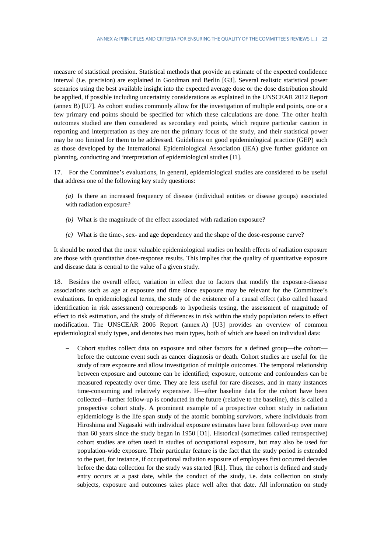measure of statistical precision. Statistical methods that provide an estimate of the expected confidence interval (i.e. precision) are explained in Goodman and Berlin [G3]. Several realistic statistical power scenarios using the best available insight into the expected average dose or the dose distribution should be applied, if possible including uncertainty considerations as explained in the UNSCEAR 2012 Report (annex B) [U7]. As cohort studies commonly allow for the investigation of multiple end points, one or a few primary end points should be specified for which these calculations are done. The other health outcomes studied are then considered as secondary end points, which require particular caution in reporting and interpretation as they are not the primary focus of the study, and their statistical power may be too limited for them to be addressed. Guidelines on good epidemiological practice (GEP) such as those developed by the International Epidemiological Association (IEA) give further guidance on planning, conducting and interpretation of epidemiological studies [I1].

17. For the Committee's evaluations, in general, epidemiological studies are considered to be useful that address one of the following key study questions:

*(a)* Is there an increased frequency of disease (individual entities or disease groups) associated with radiation exposure?

- *(b)* What is the magnitude of the effect associated with radiation exposure?
- *(c)* What is the time-, sex- and age dependency and the shape of the dose-response curve?

It should be noted that the most valuable epidemiological studies on health effects of radiation exposure are those with quantitative dose-response results. This implies that the quality of quantitative exposure and disease data is central to the value of a given study.

18. Besides the overall effect, variation in effect due to factors that modify the exposure-disease associations such as age at exposure and time since exposure may be relevant for the Committee's evaluations. In epidemiological terms, the study of the existence of a causal effect (also called hazard identification in risk assessment) corresponds to hypothesis testing, the assessment of magnitude of effect to risk estimation, and the study of differences in risk within the study population refers to effect modification. The UNSCEAR 2006 Report (annex A) [U3] provides an overview of common epidemiological study types, and denotes two main types, both of which are based on individual data:

− Cohort studies collect data on exposure and other factors for a defined group—the cohort before the outcome event such as cancer diagnosis or death. Cohort studies are useful for the study of rare exposure and allow investigation of multiple outcomes. The temporal relationship between exposure and outcome can be identified; exposure, outcome and confounders can be measured repeatedly over time. They are less useful for rare diseases, and in many instances time-consuming and relatively expensive. If—after baseline data for the cohort have been collected—further follow-up is conducted in the future (relative to the baseline), this is called a prospective cohort study. A prominent example of a prospective cohort study in radiation epidemiology is the life span study of the atomic bombing survivors, where individuals from Hiroshima and Nagasaki with individual exposure estimates have been followed-up over more than 60 years since the study began in 1950 [O1]. Historical (sometimes called retrospective) cohort studies are often used in studies of occupational exposure, but may also be used for population-wide exposure. Their particular feature is the fact that the study period is extended to the past, for instance, if occupational radiation exposure of employees first occurred decades before the data collection for the study was started [R1]. Thus, the cohort is defined and study entry occurs at a past date, while the conduct of the study, i.e. data collection on study subjects, exposure and outcomes takes place well after that date. All information on study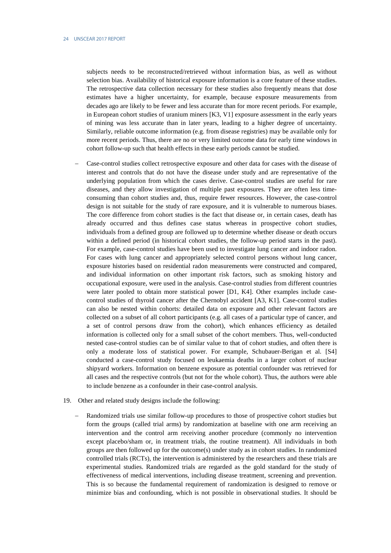subjects needs to be reconstructed/retrieved without information bias, as well as without selection bias. Availability of historical exposure information is a core feature of these studies. The retrospective data collection necessary for these studies also frequently means that dose estimates have a higher uncertainty, for example, because exposure measurements from decades ago are likely to be fewer and less accurate than for more recent periods. For example, in European cohort studies of uranium miners [K3, V1] exposure assessment in the early years of mining was less accurate than in later years, leading to a higher degree of uncertainty. Similarly, reliable outcome information (e.g. from disease registries) may be available only for more recent periods. Thus, there are no or very limited outcome data for early time windows in cohort follow-up such that health effects in these early periods cannot be studied.

- − Case-control studies collect retrospective exposure and other data for cases with the disease of interest and controls that do not have the disease under study and are representative of the underlying population from which the cases derive. Case-control studies are useful for rare diseases, and they allow investigation of multiple past exposures. They are often less timeconsuming than cohort studies and, thus, require fewer resources. However, the case-control design is not suitable for the study of rare exposure, and it is vulnerable to numerous biases. The core difference from cohort studies is the fact that disease or, in certain cases, death has already occurred and thus defines case status whereas in prospective cohort studies, individuals from a defined group are followed up to determine whether disease or death occurs within a defined period (in historical cohort studies, the follow-up period starts in the past). For example, case-control studies have been used to investigate lung cancer and indoor radon. For cases with lung cancer and appropriately selected control persons without lung cancer, exposure histories based on residential radon measurements were constructed and compared, and individual information on other important risk factors, such as smoking history and occupational exposure, were used in the analysis. Case-control studies from different countries were later pooled to obtain more statistical power [D1, K4]. Other examples include casecontrol studies of thyroid cancer after the Chernobyl accident [A3, K1]. Case-control studies can also be nested within cohorts: detailed data on exposure and other relevant factors are collected on a subset of all cohort participants (e.g. all cases of a particular type of cancer, and a set of control persons draw from the cohort), which enhances efficiency as detailed information is collected only for a small subset of the cohort members. Thus, well-conducted nested case-control studies can be of similar value to that of cohort studies, and often there is only a moderate loss of statistical power. For example, Schubauer-Berigan et al. [S4] conducted a case-control study focused on leukaemia deaths in a larger cohort of nuclear shipyard workers. Information on benzene exposure as potential confounder was retrieved for all cases and the respective controls (but not for the whole cohort). Thus, the authors were able to include benzene as a confounder in their case-control analysis.
- 19. Other and related study designs include the following:
	- Randomized trials use similar follow-up procedures to those of prospective cohort studies but form the groups (called trial arms) by randomization at baseline with one arm receiving an intervention and the control arm receiving another procedure (commonly no intervention except placebo/sham or, in treatment trials, the routine treatment). All individuals in both groups are then followed up for the outcome(s) under study as in cohort studies. In randomized controlled trials (RCTs), the intervention is administered by the researchers and these trials are experimental studies. Randomized trials are regarded as the gold standard for the study of effectiveness of medical interventions, including disease treatment, screening and prevention. This is so because the fundamental requirement of randomization is designed to remove or minimize bias and confounding, which is not possible in observational studies. It should be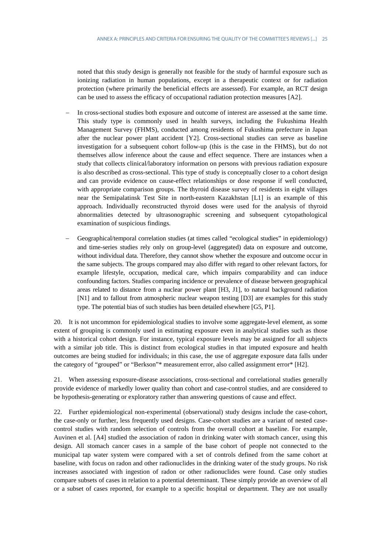noted that this study design is generally not feasible for the study of harmful exposure such as ionizing radiation in human populations, except in a therapeutic context or for radiation protection (where primarily the beneficial effects are assessed). For example, an RCT design can be used to assess the efficacy of occupational radiation protection measures [A2].

- In cross-sectional studies both exposure and outcome of interest are assessed at the same time. This study type is commonly used in health surveys, including the Fukushima Health Management Survey (FHMS), conducted among residents of Fukushima prefecture in Japan after the nuclear power plant accident [Y2]. Cross-sectional studies can serve as baseline investigation for a subsequent cohort follow-up (this is the case in the FHMS), but do not themselves allow inference about the cause and effect sequence. There are instances when a study that collects clinical/laboratory information on persons with previous radiation exposure is also described as cross-sectional. This type of study is conceptually closer to a cohort design and can provide evidence on cause-effect relationships or dose response if well conducted, with appropriate comparison groups. The thyroid disease survey of residents in eight villages near the Semipalatinsk Test Site in north-eastern Kazakhstan [L1] is an example of this approach. Individually reconstructed thyroid doses were used for the analysis of thyroid abnormalities detected by ultrasonographic screening and subsequent cytopathological examination of suspicious findings.
- − Geographical/temporal correlation studies (at times called "ecological studies" in epidemiology) and time-series studies rely only on group-level (aggregated) data on exposure and outcome, without individual data. Therefore, they cannot show whether the exposure and outcome occur in the same subjects. The groups compared may also differ with regard to other relevant factors, for example lifestyle, occupation, medical care, which impairs comparability and can induce confounding factors. Studies comparing incidence or prevalence of disease between geographical areas related to distance from a nuclear power plant [H3, J1], to natural background radiation [N1] and to fallout from atmospheric nuclear weapon testing [D3] are examples for this study type. The potential bias of such studies has been detailed elsewhere [G5, P1].

20. It is not uncommon for epidemiological studies to involve some aggregate-level element, as some extent of grouping is commonly used in estimating exposure even in analytical studies such as those with a historical cohort design. For instance, typical exposure levels may be assigned for all subjects with a similar job title. This is distinct from ecological studies in that imputed exposure and health outcomes are being studied for individuals; in this case, the use of aggregate exposure data falls under the category of "grouped" or "Berkson"\* measurement error, also called assignment error\* [H2].

21. When assessing exposure-disease associations, cross-sectional and correlational studies generally provide evidence of markedly lower quality than cohort and case-control studies, and are considered to be hypothesis-generating or exploratory rather than answering questions of cause and effect.

22. Further epidemiological non-experimental (observational) study designs include the case-cohort, the case-only or further, less frequently used designs. Case-cohort studies are a variant of nested casecontrol studies with random selection of controls from the overall cohort at baseline. For example, Auvinen et al. [A4] studied the association of radon in drinking water with stomach cancer, using this design. All stomach cancer cases in a sample of the base cohort of people not connected to the municipal tap water system were compared with a set of controls defined from the same cohort at baseline, with focus on radon and other radionuclides in the drinking water of the study groups. No risk increases associated with ingestion of radon or other radionuclides were found. Case only studies compare subsets of cases in relation to a potential determinant. These simply provide an overview of all or a subset of cases reported, for example to a specific hospital or department. They are not usually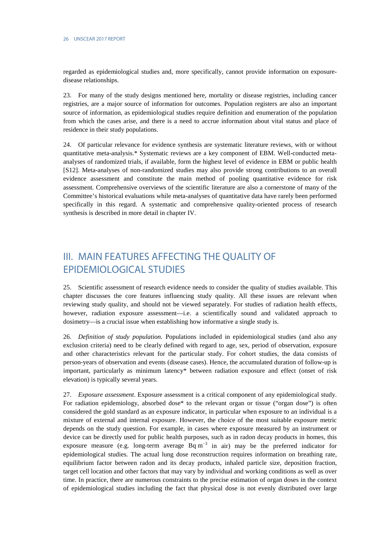regarded as epidemiological studies and, more specifically, cannot provide information on exposuredisease relationships.

23. For many of the study designs mentioned here, mortality or disease registries, including cancer registries, are a major source of information for outcomes. Population registers are also an important source of information, as epidemiological studies require definition and enumeration of the population from which the cases arise, and there is a need to accrue information about vital status and place of residence in their study populations.

24. Of particular relevance for evidence synthesis are systematic literature reviews, with or without quantitative meta-analysis.\* Systematic reviews are a key component of EBM. Well-conducted metaanalyses of randomized trials, if available, form the highest level of evidence in EBM or public health [S12]. Meta-analyses of non-randomized studies may also provide strong contributions to an overall evidence assessment and constitute the main method of pooling quantitative evidence for risk assessment. Comprehensive overviews of the scientific literature are also a cornerstone of many of the Committee's historical evaluations while meta-analyses of quantitative data have rarely been performed specifically in this regard. A systematic and comprehensive quality-oriented process of research synthesis is described in more detail in chapter IV.

# <span id="page-11-0"></span>III. MAIN FEATURES AFFECTING THE QUALITY OF EPIDEMIOLOGICAL STUDIES

25. Scientific assessment of research evidence needs to consider the quality of studies available. This chapter discusses the core features influencing study quality. All these issues are relevant when reviewing study quality, and should not be viewed separately. For studies of radiation health effects, however, radiation exposure assessment—i.e. a scientifically sound and validated approach to dosimetry—is a crucial issue when establishing how informative a single study is.

26. *Definition of study population.* Populations included in epidemiological studies (and also any exclusion criteria) need to be clearly defined with regard to age, sex, period of observation, exposure and other characteristics relevant for the particular study. For cohort studies, the data consists of person-years of observation and events (disease cases). Hence, the accumulated duration of follow-up is important, particularly as minimum latency\* between radiation exposure and effect (onset of risk elevation) is typically several years.

27. *Exposure assessment*. Exposure assessment is a critical component of any epidemiological study. For radiation epidemiology, absorbed dose\* to the relevant organ or tissue ("organ dose") is often considered the gold standard as an exposure indicator, in particular when exposure to an individual is a mixture of external and internal exposure. However, the choice of the most suitable exposure metric depends on the study question. For example, in cases where exposure measured by an instrument or device can be directly used for public health purposes, such as in radon decay products in homes, this exposure measure (e.g. long-term average Bq m<sup>−</sup><sup>3</sup> in air) may be the preferred indicator for epidemiological studies. The actual lung dose reconstruction requires information on breathing rate, equilibrium factor between radon and its decay products, inhaled particle size, deposition fraction, target cell location and other factors that may vary by individual and working conditions as well as over time. In practice, there are numerous constraints to the precise estimation of organ doses in the context of epidemiological studies including the fact that physical dose is not evenly distributed over large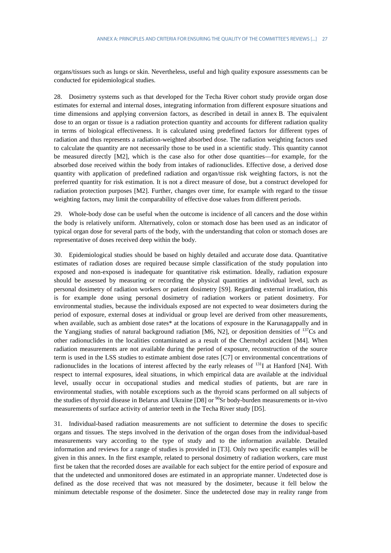organs/tissues such as lungs or skin. Nevertheless, useful and high quality exposure assessments can be conducted for epidemiological studies.

28. Dosimetry systems such as that developed for the Techa River cohort study provide organ dose estimates for external and internal doses, integrating information from different exposure situations and time dimensions and applying conversion factors, as described in detail in annex B. The equivalent dose to an organ or tissue is a radiation protection quantity and accounts for different radiation quality in terms of biological effectiveness. It is calculated using predefined factors for different types of radiation and thus represents a radiation-weighted absorbed dose. The radiation weighting factors used to calculate the quantity are not necessarily those to be used in a scientific study. This quantity cannot be measured directly [M2], which is the case also for other dose quantities—for example, for the absorbed dose received within the body from intakes of radionuclides. Effective dose, a derived dose quantity with application of predefined radiation and organ/tissue risk weighting factors, is not the preferred quantity for risk estimation. It is not a direct measure of dose, but a construct developed for radiation protection purposes [M2]. Further, changes over time, for example with regard to the tissue weighting factors, may limit the comparability of effective dose values from different periods.

29. Whole-body dose can be useful when the outcome is incidence of all cancers and the dose within the body is relatively uniform. Alternatively, colon or stomach dose has been used as an indicator of typical organ dose for several parts of the body, with the understanding that colon or stomach doses are representative of doses received deep within the body.

30. Epidemiological studies should be based on highly detailed and accurate dose data. Quantitative estimates of radiation doses are required because simple classification of the study population into exposed and non-exposed is inadequate for quantitative risk estimation. Ideally, radiation exposure should be assessed by measuring or recording the physical quantities at individual level, such as personal dosimetry of radiation workers or patient dosimetry [S9]. Regarding external irradiation, this is for example done using personal dosimetry of radiation workers or patient dosimetry. For environmental studies, because the individuals exposed are not expected to wear dosimeters during the period of exposure, external doses at individual or group level are derived from other measurements, when available, such as ambient dose rates\* at the locations of exposure in the Karunagappally and in the Yangjiang studies of natural background radiation [M6, N2], or deposition densities of  $^{137}Cs$  and other radionuclides in the localities contaminated as a result of the Chernobyl accident [M4]. When radiation measurements are not available during the period of exposure, reconstruction of the source term is used in the LSS studies to estimate ambient dose rates [C7] or environmental concentrations of radionuclides in the locations of interest affected by the early releases of  $^{131}I$  at Hanford [N4]. With respect to internal exposures, ideal situations, in which empirical data are available at the individual level, usually occur in occupational studies and medical studies of patients, but are rare in environmental studies, with notable exceptions such as the thyroid scans performed on all subjects of the studies of thyroid disease in Belarus and Ukraine [D8] or  $^{90}Sr$  body-burden measurements or in-vivo measurements of surface activity of anterior teeth in the Techa River study [D5].

31. Individual-based radiation measurements are not sufficient to determine the doses to specific organs and tissues. The steps involved in the derivation of the organ doses from the individual-based measurements vary according to the type of study and to the information available. Detailed information and reviews for a range of studies is provided in [T3]. Only two specific examples will be given in this annex. In the first example, related to personal dosimetry of radiation workers, care must first be taken that the recorded doses are available for each subject for the entire period of exposure and that the undetected and unmonitored doses are estimated in an appropriate manner. Undetected dose is defined as the dose received that was not measured by the dosimeter, because it fell below the minimum detectable response of the dosimeter. Since the undetected dose may in reality range from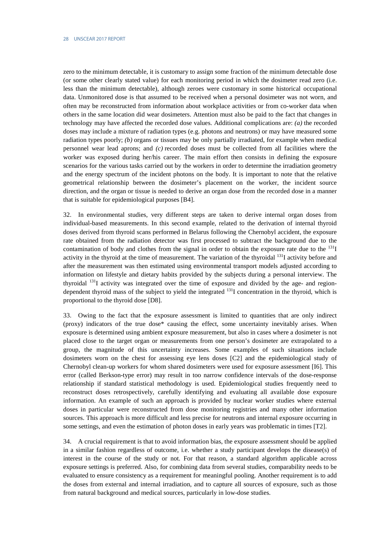zero to the minimum detectable, it is customary to assign some fraction of the minimum detectable dose (or some other clearly stated value) for each monitoring period in which the dosimeter read zero (i.e. less than the minimum detectable), although zeroes were customary in some historical occupational data. Unmonitored dose is that assumed to be received when a personal dosimeter was not worn, and often may be reconstructed from information about workplace activities or from co-worker data when others in the same location did wear dosimeters. Attention must also be paid to the fact that changes in technology may have affected the recorded dose values. Additional complications are: *(a)* the recorded doses may include a mixture of radiation types (e.g. photons and neutrons) or may have measured some radiation types poorly; *(b)* organs or tissues may be only partially irradiated, for example when medical personnel wear lead aprons; and *(c)* recorded doses must be collected from all facilities where the worker was exposed during her/his career. The main effort then consists in defining the exposure scenarios for the various tasks carried out by the workers in order to determine the irradiation geometry and the energy spectrum of the incident photons on the body. It is important to note that the relative geometrical relationship between the dosimeter's placement on the worker, the incident source direction, and the organ or tissue is needed to derive an organ dose from the recorded dose in a manner that is suitable for epidemiological purposes [B4].

32. In environmental studies, very different steps are taken to derive internal organ doses from individual-based measurements. In this second example, related to the derivation of internal thyroid doses derived from thyroid scans performed in Belarus following the Chernobyl accident, the exposure rate obtained from the radiation detector was first processed to subtract the background due to the contamination of body and clothes from the signal in order to obtain the exposure rate due to the  $^{131}I$ activity in the thyroid at the time of measurement. The variation of the thyroidal <sup>131</sup>I activity before and after the measurement was then estimated using environmental transport models adjusted according to information on lifestyle and dietary habits provided by the subjects during a personal interview. The thyroidal <sup>131</sup>I activity was integrated over the time of exposure and divided by the age- and regiondependent thyroid mass of the subject to yield the integrated <sup>131</sup>I concentration in the thyroid, which is proportional to the thyroid dose [D8].

33. Owing to the fact that the exposure assessment is limited to quantities that are only indirect (proxy) indicators of the true dose\* causing the effect, some uncertainty inevitably arises. When exposure is determined using ambient exposure measurement, but also in cases where a dosimeter is not placed close to the target organ or measurements from one person's dosimeter are extrapolated to a group, the magnitude of this uncertainty increases. Some examples of such situations include dosimeters worn on the chest for assessing eye lens doses [C2] and the epidemiological study of Chernobyl clean-up workers for whom shared dosimeters were used for exposure assessment [I6]. This error (called Berkson-type error) may result in too narrow confidence intervals of the dose-response relationship if standard statistical methodology is used. Epidemiological studies frequently need to reconstruct doses retrospectively, carefully identifying and evaluating all available dose exposure information. An example of such an approach is provided by nuclear worker studies where external doses in particular were reconstructed from dose monitoring registries and many other information sources. This approach is more difficult and less precise for neutrons and internal exposure occurring in some settings, and even the estimation of photon doses in early years was problematic in times [T2].

34. A crucial requirement is that to avoid information bias, the exposure assessment should be applied in a similar fashion regardless of outcome, i.e. whether a study participant develops the disease(s) of interest in the course of the study or not. For that reason, a standard algorithm applicable across exposure settings is preferred. Also, for combining data from several studies, comparability needs to be evaluated to ensure consistency as a requirement for meaningful pooling. Another requirement is to add the doses from external and internal irradiation, and to capture all sources of exposure, such as those from natural background and medical sources, particularly in low-dose studies.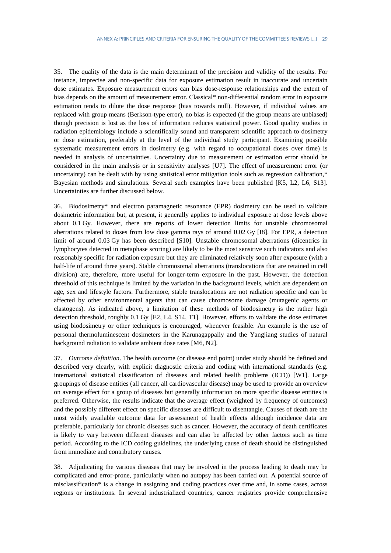35. The quality of the data is the main determinant of the precision and validity of the results. For instance, imprecise and non-specific data for exposure estimation result in inaccurate and uncertain dose estimates. Exposure measurement errors can bias dose-response relationships and the extent of bias depends on the amount of measurement error. Classical\* non-differential random error in exposure estimation tends to dilute the dose response (bias towards null). However, if individual values are replaced with group means (Berkson-type error), no bias is expected (if the group means are unbiased) though precision is lost as the loss of information reduces statistical power. Good quality studies in radiation epidemiology include a scientifically sound and transparent scientific approach to dosimetry or dose estimation, preferably at the level of the individual study participant. Examining possible systematic measurement errors in dosimetry (e.g. with regard to occupational doses over time) is needed in analysis of uncertainties. Uncertainty due to measurement or estimation error should be considered in the main analysis or in sensitivity analyses [U7]. The effect of measurement error (or uncertainty) can be dealt with by using statistical error mitigation tools such as regression calibration,\* Bayesian methods and simulations. Several such examples have been published [K5, L2, L6, S13]. Uncertainties are further discussed below.

36. Biodosimetry\* and electron paramagnetic resonance (EPR) dosimetry can be used to validate dosimetric information but, at present, it generally applies to individual exposure at dose levels above about 0.1 Gy. However, there are reports of lower detection limits for unstable chromosomal aberrations related to doses from low dose gamma rays of around 0.02 Gy [I8]. For EPR, a detection limit of around 0.03 Gy has been described [S10]. Unstable chromosomal aberrations (dicentrics in lymphocytes detected in metaphase scoring) are likely to be the most sensitive such indicators and also reasonably specific for radiation exposure but they are eliminated relatively soon after exposure (with a half-life of around three years). Stable chromosomal aberrations (translocations that are retained in cell division) are, therefore, more useful for longer-term exposure in the past. However, the detection threshold of this technique is limited by the variation in the background levels, which are dependent on age, sex and lifestyle factors. Furthermore, stable translocations are not radiation specific and can be affected by other environmental agents that can cause chromosome damage (mutagenic agents or clastogens). As indicated above, a limitation of these methods of biodosimetry is the rather high detection threshold, roughly 0.1 Gy [E2, L4, S14, T1]. However, efforts to validate the dose estimates using biodosimetry or other techniques is encouraged, whenever feasible. An example is the use of personal thermoluminescent dosimeters in the Karunagappally and the Yangjiang studies of natural background radiation to validate ambient dose rates [M6, N2].

37. *Outcome definition*. The health outcome (or disease end point) under study should be defined and described very clearly, with explicit diagnostic criteria and coding with international standards (e.g. international statistical classification of diseases and related health problems (ICD)) [W1]. Large groupings of disease entities (all cancer, all cardiovascular disease) may be used to provide an overview on average effect for a group of diseases but generally information on more specific disease entities is preferred. Otherwise, the results indicate that the average effect (weighted by frequency of outcomes) and the possibly different effect on specific diseases are difficult to disentangle. Causes of death are the most widely available outcome data for assessment of health effects although incidence data are preferable, particularly for chronic diseases such as cancer. However, the accuracy of death certificates is likely to vary between different diseases and can also be affected by other factors such as time period. According to the ICD coding guidelines, the underlying cause of death should be distinguished from immediate and contributory causes.

38. Adjudicating the various diseases that may be involved in the process leading to death may be complicated and error-prone, particularly when no autopsy has been carried out. A potential source of misclassification\* is a change in assigning and coding practices over time and, in some cases, across regions or institutions. In several industrialized countries, cancer registries provide comprehensive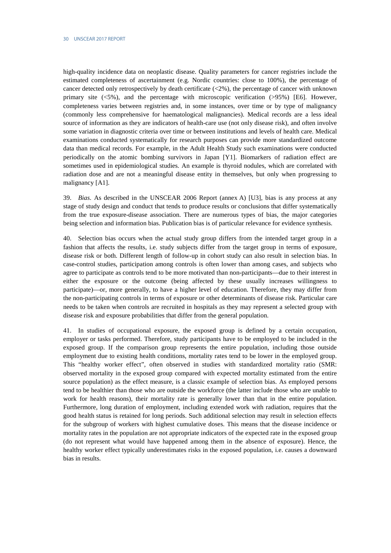high-quality incidence data on neoplastic disease. Quality parameters for cancer registries include the estimated completeness of ascertainment (e.g. Nordic countries: close to 100%), the percentage of cancer detected only retrospectively by death certificate (<2%), the percentage of cancer with unknown primary site (<5%), and the percentage with microscopic verification (>95%) [E6]. However, completeness varies between registries and, in some instances, over time or by type of malignancy (commonly less comprehensive for haematological malignancies). Medical records are a less ideal source of information as they are indicators of health-care use (not only disease risk), and often involve some variation in diagnostic criteria over time or between institutions and levels of health care. Medical examinations conducted systematically for research purposes can provide more standardized outcome data than medical records. For example, in the Adult Health Study such examinations were conducted periodically on the atomic bombing survivors in Japan [Y1]. Biomarkers of radiation effect are sometimes used in epidemiological studies. An example is thyroid nodules, which are correlated with radiation dose and are not a meaningful disease entity in themselves, but only when progressing to malignancy [A1].

39. *Bias*. As described in the UNSCEAR 2006 Report (annex A) [U3], bias is any process at any stage of study design and conduct that tends to produce results or conclusions that differ systematically from the true exposure-disease association. There are numerous types of bias, the major categories being selection and information bias. Publication bias is of particular relevance for evidence synthesis.

40. Selection bias occurs when the actual study group differs from the intended target group in a fashion that affects the results, i.e. study subjects differ from the target group in terms of exposure, disease risk or both. Different length of follow-up in cohort study can also result in selection bias. In case-control studies, participation among controls is often lower than among cases, and subjects who agree to participate as controls tend to be more motivated than non-participants—due to their interest in either the exposure or the outcome (being affected by these usually increases willingness to participate)—or, more generally, to have a higher level of education. Therefore, they may differ from the non-participating controls in terms of exposure or other determinants of disease risk. Particular care needs to be taken when controls are recruited in hospitals as they may represent a selected group with disease risk and exposure probabilities that differ from the general population.

41. In studies of occupational exposure, the exposed group is defined by a certain occupation, employer or tasks performed. Therefore, study participants have to be employed to be included in the exposed group. If the comparison group represents the entire population, including those outside employment due to existing health conditions, mortality rates tend to be lower in the employed group. This "healthy worker effect", often observed in studies with standardized mortality ratio (SMR: observed mortality in the exposed group compared with expected mortality estimated from the entire source population) as the effect measure, is a classic example of selection bias. As employed persons tend to be healthier than those who are outside the workforce (the latter include those who are unable to work for health reasons), their mortality rate is generally lower than that in the entire population. Furthermore, long duration of employment, including extended work with radiation, requires that the good health status is retained for long periods. Such additional selection may result in selection effects for the subgroup of workers with highest cumulative doses. This means that the disease incidence or mortality rates in the population are not appropriate indicators of the expected rate in the exposed group (do not represent what would have happened among them in the absence of exposure). Hence, the healthy worker effect typically underestimates risks in the exposed population, i.e. causes a downward bias in results.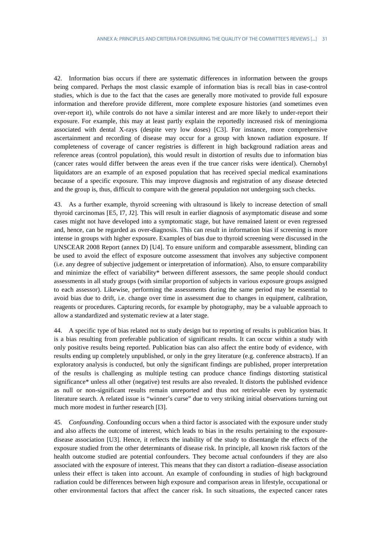42. Information bias occurs if there are systematic differences in information between the groups being compared. Perhaps the most classic example of information bias is recall bias in case-control studies, which is due to the fact that the cases are generally more motivated to provide full exposure information and therefore provide different, more complete exposure histories (and sometimes even over-report it), while controls do not have a similar interest and are more likely to under-report their exposure. For example, this may at least partly explain the reportedly increased risk of meningioma associated with dental X-rays (despite very low doses) [C3]. For instance, more comprehensive ascertainment and recording of disease may occur for a group with known radiation exposure. If completeness of coverage of cancer registries is different in high background radiation areas and reference areas (control population), this would result in distortion of results due to information bias (cancer rates would differ between the areas even if the true cancer risks were identical). Chernobyl liquidators are an example of an exposed population that has received special medical examinations because of a specific exposure. This may improve diagnosis and registration of any disease detected and the group is, thus, difficult to compare with the general population not undergoing such checks.

43. As a further example, thyroid screening with ultrasound is likely to increase detection of small thyroid carcinomas [E5, I7, J2]. This will result in earlier diagnosis of asymptomatic disease and some cases might not have developed into a symptomatic stage, but have remained latent or even regressed and, hence, can be regarded as over-diagnosis. This can result in information bias if screening is more intense in groups with higher exposure. Examples of bias due to thyroid screening were discussed in the UNSCEAR 2008 Report (annex D) [U4]. To ensure uniform and comparable assessment, blinding can be used to avoid the effect of exposure outcome assessment that involves any subjective component (i.e. any degree of subjective judgement or interpretation of information). Also, to ensure comparability and minimize the effect of variability\* between different assessors, the same people should conduct assessments in all study groups (with similar proportion of subjects in various exposure groups assigned to each assessor). Likewise, performing the assessments during the same period may be essential to avoid bias due to drift, i.e. change over time in assessment due to changes in equipment, calibration, reagents or procedures. Capturing records, for example by photography, may be a valuable approach to allow a standardized and systematic review at a later stage.

44. A specific type of bias related not to study design but to reporting of results is publication bias. It is a bias resulting from preferable publication of significant results. It can occur within a study with only positive results being reported. Publication bias can also affect the entire body of evidence, with results ending up completely unpublished, or only in the grey literature (e.g. conference abstracts). If an exploratory analysis is conducted, but only the significant findings are published, proper interpretation of the results is challenging as multiple testing can produce chance findings distorting statistical significance\* unless all other (negative) test results are also revealed. It distorts the published evidence as null or non-significant results remain unreported and thus not retrievable even by systematic literature search. A related issue is "winner's curse" due to very striking initial observations turning out much more modest in further research [I3].

45. *Confounding*. Confounding occurs when a third factor is associated with the exposure under study and also affects the outcome of interest, which leads to bias in the results pertaining to the exposuredisease association [U3]. Hence, it reflects the inability of the study to disentangle the effects of the exposure studied from the other determinants of disease risk. In principle, all known risk factors of the health outcome studied are potential confounders. They become actual confounders if they are also associated with the exposure of interest. This means that they can distort a radiation–disease association unless their effect is taken into account. An example of confounding in studies of high background radiation could be differences between high exposure and comparison areas in lifestyle, occupational or other environmental factors that affect the cancer risk. In such situations, the expected cancer rates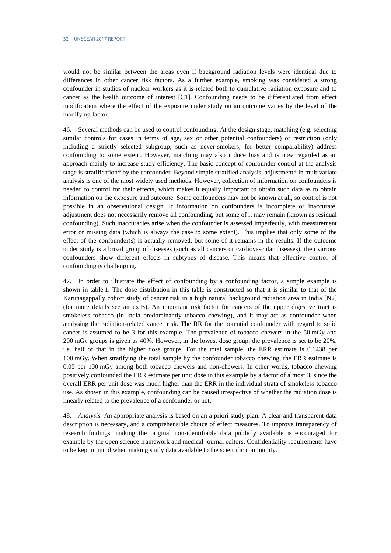would not be similar between the areas even if background radiation levels were identical due to differences in other cancer risk factors. As a further example, smoking was considered a strong confounder in studies of nuclear workers as it is related both to cumulative radiation exposure and to cancer as the health outcome of interest [C1]. Confounding needs to be differentiated from effect modification where the effect of the exposure under study on an outcome varies by the level of the modifying factor.

46. Several methods can be used to control confounding. At the design stage, matching (e.g. selecting similar controls for cases in terms of age, sex or other potential confounders) or restriction (only including a strictly selected subgroup, such as never-smokers, for better comparability) address confounding to some extent. However, matching may also induce bias and is now regarded as an approach mainly to increase study efficiency. The basic concept of confounder control at the analysis stage is stratification\* by the confounder. Beyond simple stratified analysis, adjustment\* in multivariate analysis is one of the most widely used methods. However, collection of information on confounders is needed to control for their effects, which makes it equally important to obtain such data as to obtain information on the exposure and outcome. Some confounders may not be known at all, so control is not possible in an observational design. If information on confounders is incomplete or inaccurate, adjustment does not necessarily remove all confounding, but some of it may remain (known as residual confounding). Such inaccuracies arise when the confounder is assessed imperfectly, with measurement error or missing data (which is always the case to some extent). This implies that only some of the effect of the confounder(s) is actually removed, but some of it remains in the results. If the outcome under study is a broad group of diseases (such as all cancers or cardiovascular diseases), then various confounders show different effects in subtypes of disease. This means that effective control of confounding is challenging.

47. In order to illustrate the effect of confounding by a confounding factor, a simple example is shown in table 1. The dose distribution in this table is constructed so that it is similar to that of the Karunagappally cohort study of cancer risk in a high natural background radiation area in India [N2] (for more details see annex B). An important risk factor for cancers of the upper digestive tract is smokeless tobacco (in India predominantly tobacco chewing), and it may act as confounder when analysing the radiation-related cancer risk. The RR for the potential confounder with regard to solid cancer is assumed to be 3 for this example. The prevalence of tobacco chewers in the 50 mGy and 200 mGy groups is given as 40%. However, in the lowest dose group, the prevalence is set to be 20%, i.e. half of that in the higher dose groups. For the total sample, the ERR estimate is 0.1438 per 100 mGy. When stratifying the total sample by the confounder tobacco chewing, the ERR estimate is 0.05 per 100 mGy among both tobacco chewers and non-chewers. In other words, tobacco chewing positively confounded the ERR estimate per unit dose in this example by a factor of almost 3, since the overall ERR per unit dose was much higher than the ERR in the individual strata of smokeless tobacco use. As shown in this example, confounding can be caused irrespective of whether the radiation dose is linearly related to the prevalence of a confounder or not.

48. *Analysis.* An appropriate analysis is based on an a priori study plan. A clear and transparent data description is necessary, and a comprehensible choice of effect measures. To improve transparency of research findings, making the original non-identifiable data publicly available is encouraged for example by the open science framework and medical journal editors. Confidentiality requirements have to be kept in mind when making study data available to the scientific community.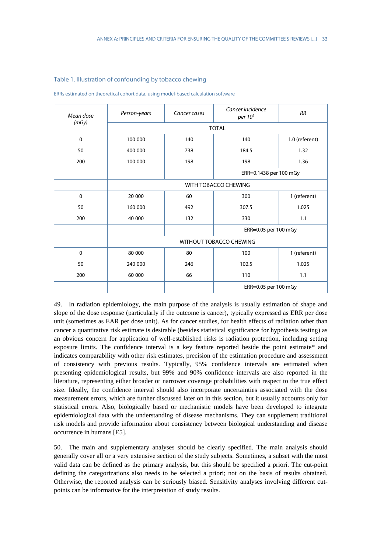| Mean dose   | Person-years                | Cancer incidence<br>Cancer cases<br>per 10 <sup>5</sup> |                        | <b>RR</b>      |  |  |  |
|-------------|-----------------------------|---------------------------------------------------------|------------------------|----------------|--|--|--|
| (mGy)       | <b>TOTAL</b>                |                                                         |                        |                |  |  |  |
| $\mathbf 0$ | 100 000                     | 140                                                     | 140                    | 1.0 (referent) |  |  |  |
| 50          | 400 000                     | 738                                                     | 184.5                  | 1.32           |  |  |  |
| 200         | 100 000                     | 198                                                     | 198                    | 1.36           |  |  |  |
|             |                             |                                                         | ERR=0.1438 per 100 mGy |                |  |  |  |
|             | <b>WITH TOBACCO CHEWING</b> |                                                         |                        |                |  |  |  |
| $\Omega$    | 20 000                      | 60                                                      | 300                    | 1 (referent)   |  |  |  |
| 50          | 160 000                     | 492                                                     | 307.5                  | 1.025          |  |  |  |
| 200         | 40 000                      | 132                                                     | 330                    | 1.1            |  |  |  |
|             |                             |                                                         | ERR=0.05 per 100 mGy   |                |  |  |  |
|             | WITHOUT TOBACCO CHEWING     |                                                         |                        |                |  |  |  |
| $\Omega$    | 80 000                      | 80                                                      | 100                    | 1 (referent)   |  |  |  |
| 50          | 240 000                     | 246                                                     | 102.5                  | 1.025          |  |  |  |
| 200         | 60 000                      | 66                                                      | 110                    | 1.1            |  |  |  |
|             |                             |                                                         | ERR=0.05 per 100 mGy   |                |  |  |  |
|             |                             |                                                         |                        |                |  |  |  |

#### Table 1. Illustration of confounding by tobacco chewing

ERRs estimated on theoretical cohort data, using model-based calculation software

49. In radiation epidemiology, the main purpose of the analysis is usually estimation of shape and slope of the dose response (particularly if the outcome is cancer), typically expressed as ERR per dose unit (sometimes as EAR per dose unit). As for cancer studies, for health effects of radiation other than cancer a quantitative risk estimate is desirable (besides statistical significance for hypothesis testing) as an obvious concern for application of well-established risks is radiation protection, including setting exposure limits. The confidence interval is a key feature reported beside the point estimate\* and indicates comparability with other risk estimates, precision of the estimation procedure and assessment of consistency with previous results. Typically, 95% confidence intervals are estimated when presenting epidemiological results, but 99% and 90% confidence intervals are also reported in the literature, representing either broader or narrower coverage probabilities with respect to the true effect size. Ideally, the confidence interval should also incorporate uncertainties associated with the dose measurement errors, which are further discussed later on in this section, but it usually accounts only for statistical errors. Also, biologically based or mechanistic models have been developed to integrate epidemiological data with the understanding of disease mechanisms. They can supplement traditional risk models and provide information about consistency between biological understanding and disease occurrence in humans [E5].

50. The main and supplementary analyses should be clearly specified. The main analysis should generally cover all or a very extensive section of the study subjects. Sometimes, a subset with the most valid data can be defined as the primary analysis, but this should be specified a priori. The cut-point defining the categorizations also needs to be selected a priori; not on the basis of results obtained. Otherwise, the reported analysis can be seriously biased. Sensitivity analyses involving different cutpoints can be informative for the interpretation of study results.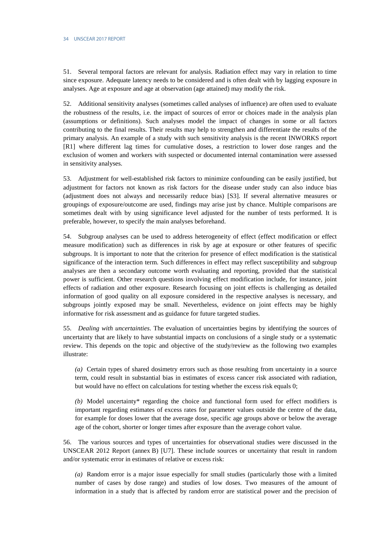51. Several temporal factors are relevant for analysis. Radiation effect may vary in relation to time since exposure. Adequate latency needs to be considered and is often dealt with by lagging exposure in analyses. Age at exposure and age at observation (age attained) may modify the risk.

52. Additional sensitivity analyses (sometimes called analyses of influence) are often used to evaluate the robustness of the results, i.e. the impact of sources of error or choices made in the analysis plan (assumptions or definitions). Such analyses model the impact of changes in some or all factors contributing to the final results. Their results may help to strengthen and differentiate the results of the primary analysis. An example of a study with such sensitivity analysis is the recent INWORKS report [R1] where different lag times for cumulative doses, a restriction to lower dose ranges and the exclusion of women and workers with suspected or documented internal contamination were assessed in sensitivity analyses.

53. Adjustment for well-established risk factors to minimize confounding can be easily justified, but adjustment for factors not known as risk factors for the disease under study can also induce bias (adjustment does not always and necessarily reduce bias) [S3]. If several alternative measures or groupings of exposure/outcome are used, findings may arise just by chance. Multiple comparisons are sometimes dealt with by using significance level adjusted for the number of tests performed. It is preferable, however, to specify the main analyses beforehand.

54. Subgroup analyses can be used to address heterogeneity of effect (effect modification or effect measure modification) such as differences in risk by age at exposure or other features of specific subgroups. It is important to note that the criterion for presence of effect modification is the statistical significance of the interaction term. Such differences in effect may reflect susceptibility and subgroup analyses are then a secondary outcome worth evaluating and reporting, provided that the statistical power is sufficient. Other research questions involving effect modification include, for instance, joint effects of radiation and other exposure. Research focusing on joint effects is challenging as detailed information of good quality on all exposure considered in the respective analyses is necessary, and subgroups jointly exposed may be small. Nevertheless, evidence on joint effects may be highly informative for risk assessment and as guidance for future targeted studies.

55. *Dealing with uncertainties*. The evaluation of uncertainties begins by identifying the sources of uncertainty that are likely to have substantial impacts on conclusions of a single study or a systematic review. This depends on the topic and objective of the study/review as the following two examples illustrate:

*(a)* Certain types of shared dosimetry errors such as those resulting from uncertainty in a source term, could result in substantial bias in estimates of excess cancer risk associated with radiation, but would have no effect on calculations for testing whether the excess risk equals 0;

*(b)* Model uncertainty\* regarding the choice and functional form used for effect modifiers is important regarding estimates of excess rates for parameter values outside the centre of the data, for example for doses lower that the average dose, specific age groups above or below the average age of the cohort, shorter or longer times after exposure than the average cohort value.

56. The various sources and types of uncertainties for observational studies were discussed in the UNSCEAR 2012 Report (annex B) [U7]. These include sources or uncertainty that result in random and/or systematic error in estimates of relative or excess risk:

*(a)* Random error is a major issue especially for small studies (particularly those with a limited number of cases by dose range) and studies of low doses. Two measures of the amount of information in a study that is affected by random error are statistical power and the precision of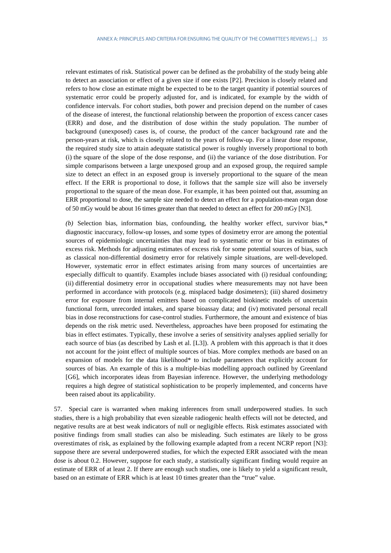relevant estimates of risk. Statistical power can be defined as the probability of the study being able to detect an association or effect of a given size if one exists [P2]. Precision is closely related and refers to how close an estimate might be expected to be to the target quantity if potential sources of systematic error could be properly adjusted for, and is indicated, for example by the width of confidence intervals. For cohort studies, both power and precision depend on the number of cases of the disease of interest, the functional relationship between the proportion of excess cancer cases (ERR) and dose, and the distribution of dose within the study population. The number of background (unexposed) cases is, of course, the product of the cancer background rate and the person-years at risk, which is closely related to the years of follow-up. For a linear dose response, the required study size to attain adequate statistical power is roughly inversely proportional to both (i) the square of the slope of the dose response, and (ii) the variance of the dose distribution. For simple comparisons between a large unexposed group and an exposed group, the required sample size to detect an effect in an exposed group is inversely proportional to the square of the mean effect. If the ERR is proportional to dose, it follows that the sample size will also be inversely proportional to the square of the mean dose. For example, it has been pointed out that, assuming an ERR proportional to dose, the sample size needed to detect an effect for a population-mean organ dose of 50 mGy would be about 16 times greater than that needed to detect an effect for 200 mGy [N3].

*(b)* Selection bias, information bias, confounding, the healthy worker effect, survivor bias,\* diagnostic inaccuracy, follow-up losses, and some types of dosimetry error are among the potential sources of epidemiologic uncertainties that may lead to systematic error or bias in estimates of excess risk. Methods for adjusting estimates of excess risk for some potential sources of bias, such as classical non-differential dosimetry error for relatively simple situations, are well-developed. However, systematic error in effect estimates arising from many sources of uncertainties are especially difficult to quantify. Examples include biases associated with (i) residual confounding; (ii) differential dosimetry error in occupational studies where measurements may not have been performed in accordance with protocols (e.g. misplaced badge dosimeters); (iii) shared dosimetry error for exposure from internal emitters based on complicated biokinetic models of uncertain functional form, unrecorded intakes, and sparse bioassay data; and (iv) motivated personal recall bias in dose reconstructions for case-control studies. Furthermore, the amount and existence of bias depends on the risk metric used. Nevertheless, approaches have been proposed for estimating the bias in effect estimates. Typically, these involve a series of sensitivity analyses applied serially for each source of bias (as described by Lash et al. [L3]). A problem with this approach is that it does not account for the joint effect of multiple sources of bias. More complex methods are based on an expansion of models for the data likelihood\* to include parameters that explicitly account for sources of bias. An example of this is a multiple-bias modelling approach outlined by Greenland [G6], which incorporates ideas from Bayesian inference. However, the underlying methodology requires a high degree of statistical sophistication to be properly implemented, and concerns have been raised about its applicability.

57. Special care is warranted when making inferences from small underpowered studies. In such studies, there is a high probability that even sizeable radiogenic health effects will not be detected, and negative results are at best weak indicators of null or negligible effects. Risk estimates associated with positive findings from small studies can also be misleading. Such estimates are likely to be gross overestimates of risk, as explained by the following example adapted from a recent NCRP report [N3]: suppose there are several underpowered studies, for which the expected ERR associated with the mean dose is about 0.2. However, suppose for each study, a statistically significant finding would require an estimate of ERR of at least 2. If there are enough such studies, one is likely to yield a significant result, based on an estimate of ERR which is at least 10 times greater than the "true" value.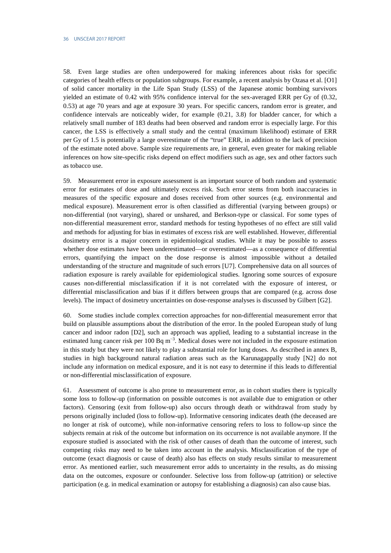58. Even large studies are often underpowered for making inferences about risks for specific categories of health effects or population subgroups. For example, a recent analysis by Ozasa et al. [O1] of solid cancer mortality in the Life Span Study (LSS) of the Japanese atomic bombing survivors yielded an estimate of 0.42 with 95% confidence interval for the sex-averaged ERR per Gy of (0.32, 0.53) at age 70 years and age at exposure 30 years. For specific cancers, random error is greater, and confidence intervals are noticeably wider, for example (0.21, 3.8) for bladder cancer, for which a relatively small number of 183 deaths had been observed and random error is especially large. For this cancer, the LSS is effectively a small study and the central (maximum likelihood) estimate of ERR per Gy of 1.5 is potentially a large overestimate of the "true" ERR, in addition to the lack of precision of the estimate noted above. Sample size requirements are, in general, even greater for making reliable inferences on how site-specific risks depend on effect modifiers such as age, sex and other factors such as tobacco use.

59. Measurement error in exposure assessment is an important source of both random and systematic error for estimates of dose and ultimately excess risk. Such error stems from both inaccuracies in measures of the specific exposure and doses received from other sources (e.g. environmental and medical exposure). Measurement error is often classified as differential (varying between groups) or non-differential (not varying), shared or unshared, and Berkson-type or classical. For some types of non-differential measurement error, standard methods for testing hypotheses of no effect are still valid and methods for adjusting for bias in estimates of excess risk are well established. However, differential dosimetry error is a major concern in epidemiological studies. While it may be possible to assess whether dose estimates have been underestimated—or overestimated—as a consequence of differential errors, quantifying the impact on the dose response is almost impossible without a detailed understanding of the structure and magnitude of such errors [U7]. Comprehensive data on all sources of radiation exposure is rarely available for epidemiological studies. Ignoring some sources of exposure causes non-differential misclassification if it is not correlated with the exposure of interest, or differential misclassification and bias if it differs between groups that are compared (e.g. across dose levels). The impact of dosimetry uncertainties on dose-response analyses is discussed by Gilbert [G2].

60. Some studies include complex correction approaches for non-differential measurement error that build on plausible assumptions about the distribution of the error. In the pooled European study of lung cancer and indoor radon [D2], such an approach was applied, leading to a substantial increase in the estimated lung cancer risk per 100 Bq m<sup>-3</sup>. Medical doses were not included in the exposure estimation in this study but they were not likely to play a substantial role for lung doses. As described in annex B, studies in high background natural radiation areas such as the Karunagappally study [N2] do not include any information on medical exposure, and it is not easy to determine if this leads to differential or non-differential misclassification of exposure.

61. Assessment of outcome is also prone to measurement error, as in cohort studies there is typically some loss to follow-up (information on possible outcomes is not available due to emigration or other factors). Censoring (exit from follow-up) also occurs through death or withdrawal from study by persons originally included (loss to follow-up). Informative censoring indicates death (the deceased are no longer at risk of outcome), while non-informative censoring refers to loss to follow-up since the subjects remain at risk of the outcome but information on its occurrence is not available anymore. If the exposure studied is associated with the risk of other causes of death than the outcome of interest, such competing risks may need to be taken into account in the analysis. Misclassification of the type of outcome (exact diagnosis or cause of death) also has effects on study results similar to measurement error. As mentioned earlier, such measurement error adds to uncertainty in the results, as do missing data on the outcomes, exposure or confounder. Selective loss from follow-up (attrition) or selective participation (e.g. in medical examination or autopsy for establishing a diagnosis) can also cause bias.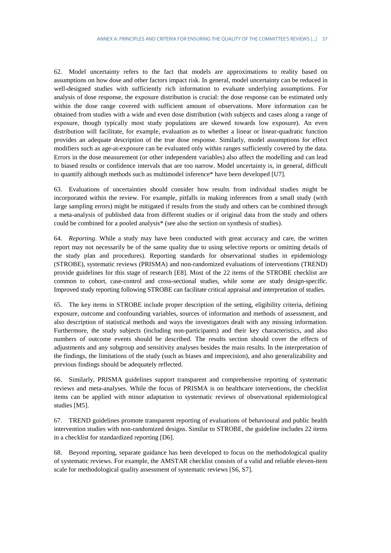62. Model uncertainty refers to the fact that models are approximations to reality based on assumptions on how dose and other factors impact risk. In general, model uncertainty can be reduced in well-designed studies with sufficiently rich information to evaluate underlying assumptions. For analysis of dose response, the exposure distribution is crucial: the dose response can be estimated only within the dose range covered with sufficient amount of observations. More information can be obtained from studies with a wide and even dose distribution (with subjects and cases along a range of exposure, though typically most study populations are skewed towards low exposure). An even distribution will facilitate, for example, evaluation as to whether a linear or linear-quadratic function provides an adequate description of the true dose response. Similarly, model assumptions for effect modifiers such as age-at-exposure can be evaluated only within ranges sufficiently covered by the data. Errors in the dose measurement (or other independent variables) also affect the modelling and can lead to biased results or confidence intervals that are too narrow. Model uncertainty is, in general, difficult to quantify although methods such as multimodel inference\* have been developed [U7].

63. Evaluations of uncertainties should consider how results from individual studies might be incorporated within the review. For example, pitfalls in making inferences from a small study (with large sampling errors) might be mitigated if results from the study and others can be combined through a meta-analysis of published data from different studies or if original data from the study and others could be combined for a pooled analysis\* (see also the section on synthesis of studies).

64. *Reporting*. While a study may have been conducted with great accuracy and care, the written report may not necessarily be of the same quality due to using selective reports or omitting details of the study plan and procedures). Reporting standards for observational studies in epidemiology (STROBE), systematic reviews (PRISMA) and non-randomized evaluations of interventions (TREND) provide guidelines for this stage of research [E8]. Most of the 22 items of the STROBE checklist are common to cohort, case-control and cross-sectional studies, while some are study design-specific. Improved study reporting following STROBE can facilitate critical appraisal and interpretation of studies.

65. The key items in STROBE include proper description of the setting, eligibility criteria, defining exposure, outcome and confounding variables, sources of information and methods of assessment, and also description of statistical methods and ways the investigators dealt with any missing information. Furthermore, the study subjects (including non-participants) and their key characteristics, and also numbers of outcome events should be described. The results section should cover the effects of adjustments and any subgroup and sensitivity analyses besides the main results. In the interpretation of the findings, the limitations of the study (such as biases and imprecision), and also generalizability and previous findings should be adequately reflected.

66. Similarly, PRISMA guidelines support transparent and comprehensive reporting of systematic reviews and meta-analyses. While the focus of PRISMA is on healthcare interventions, the checklist items can be applied with minor adaptation to systematic reviews of observational epidemiological studies [M5].

67. TREND guidelines promote transparent reporting of evaluations of behavioural and public health intervention studies with non-randomized designs. Similar to STROBE, the guideline includes 22 items in a checklist for standardized reporting [D6].

68. Beyond reporting, separate guidance has been developed to focus on the methodological quality of systematic reviews. For example, the AMSTAR checklist consists of a valid and reliable eleven-item scale for methodological quality assessment of systematic reviews [S6, S7].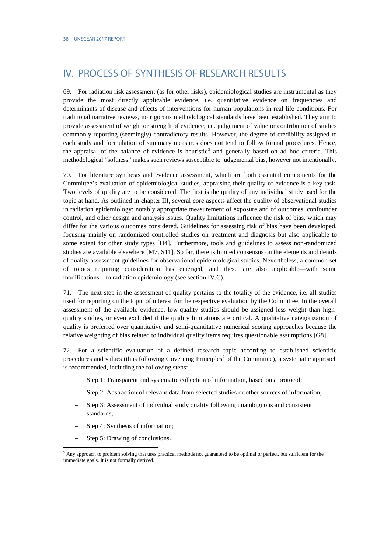# <span id="page-23-0"></span>IV. PROCESS OF SYNTHESIS OF RESEARCH RESULTS

69. For radiation risk assessment (as for other risks), epidemiological studies are instrumental as they provide the most directly applicable evidence, i.e. quantitative evidence on frequencies and determinants of disease and effects of interventions for human populations in real-life conditions. For traditional narrative reviews, no rigorous methodological standards have been established. They aim to provide assessment of weight or strength of evidence, i.e. judgement of value or contribution of studies commonly reporting (seemingly) contradictory results. However, the degree of credibility assigned to each study and formulation of summary measures does not tend to follow formal procedures. Hence, the appraisal of the balance of evidence is heuristic<sup>[3](#page-23-1)</sup> and generally based on ad hoc criteria. This methodological "softness" makes such reviews susceptible to judgemental bias, however not intentionally.

70. For literature synthesis and evidence assessment, which are both essential components for the Committee's evaluation of epidemiological studies, appraising their quality of evidence is a key task. Two levels of quality are to be considered. The first is the quality of any individual study used for the topic at hand. As outlined in chapter III, several core aspects affect the quality of observational studies in radiation epidemiology: notably appropriate measurement of exposure and of outcomes, confounder control, and other design and analysis issues. Quality limitations influence the risk of bias, which may differ for the various outcomes considered. Guidelines for assessing risk of bias have been developed, focusing mainly on randomized controlled studies on treatment and diagnosis but also applicable to some extent for other study types [H4]. Furthermore, tools and guidelines to assess non-randomized studies are available elsewhere [M7, S11]. So far, there is limited consensus on the elements and details of quality assessment guidelines for observational epidemiological studies. Nevertheless, a common set of topics requiring consideration has emerged, and these are also applicable—with some modifications—to radiation epidemiology (see section IV.C).

71. The next step in the assessment of quality pertains to the totality of the evidence, i.e. all studies used for reporting on the topic of interest for the respective evaluation by the Committee. In the overall assessment of the available evidence, low-quality studies should be assigned less weight than highquality studies, or even excluded if the quality limitations are critical. A qualitative categorization of quality is preferred over quantitative and semi-quantitative numerical scoring approaches because the relative weighting of bias related to individual quality items requires questionable assumptions [G8].

72. For a scientific evaluation of a defined research topic according to established scientific procedures and values (thus following Governing Principles<sup>[2](#page-6-2)</sup> of the Committee), a systematic approach is recommended, including the following steps:

- Step 1: Transparent and systematic collection of information, based on a protocol;
- Step 2: Abstraction of relevant data from selected studies or other sources of information;
- Step 3: Assessment of individual study quality following unambiguous and consistent standards;
- Step 4: Synthesis of information;
- Step 5: Drawing of conclusions.

-

<span id="page-23-1"></span><sup>&</sup>lt;sup>3</sup> Any approach to problem solving that uses practical methods not guaranteed to be optimal or perfect, but sufficient for the immediate goals. It is not formally derived.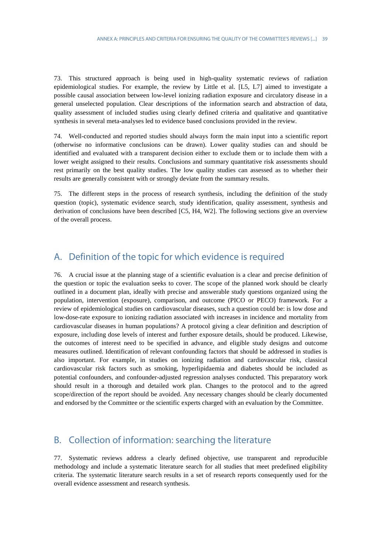73. This structured approach is being used in high-quality systematic reviews of radiation epidemiological studies. For example, the review by Little et al. [L5, L7] aimed to investigate a possible causal association between low-level ionizing radiation exposure and circulatory disease in a general unselected population. Clear descriptions of the information search and abstraction of data, quality assessment of included studies using clearly defined criteria and qualitative and quantitative synthesis in several meta-analyses led to evidence based conclusions provided in the review.

74. Well-conducted and reported studies should always form the main input into a scientific report (otherwise no informative conclusions can be drawn). Lower quality studies can and should be identified and evaluated with a transparent decision either to exclude them or to include them with a lower weight assigned to their results. Conclusions and summary quantitative risk assessments should rest primarily on the best quality studies. The low quality studies can assessed as to whether their results are generally consistent with or strongly deviate from the summary results.

75. The different steps in the process of research synthesis, including the definition of the study question (topic), systematic evidence search, study identification, quality assessment, synthesis and derivation of conclusions have been described [C5, H4, W2]. The following sections give an overview of the overall process.

# <span id="page-24-0"></span>A. Definition of the topic for which evidence is required

76. A crucial issue at the planning stage of a scientific evaluation is a clear and precise definition of the question or topic the evaluation seeks to cover. The scope of the planned work should be clearly outlined in a document plan, ideally with precise and answerable study questions organized using the population, intervention (exposure), comparison, and outcome (PICO or PECO) framework. For a review of epidemiological studies on cardiovascular diseases, such a question could be: is low dose and low-dose-rate exposure to ionizing radiation associated with increases in incidence and mortality from cardiovascular diseases in human populations? A protocol giving a clear definition and description of exposure, including dose levels of interest and further exposure details, should be produced. Likewise, the outcomes of interest need to be specified in advance, and eligible study designs and outcome measures outlined. Identification of relevant confounding factors that should be addressed in studies is also important. For example, in studies on ionizing radiation and cardiovascular risk, classical cardiovascular risk factors such as smoking, hyperlipidaemia and diabetes should be included as potential confounders, and confounder-adjusted regression analyses conducted. This preparatory work should result in a thorough and detailed work plan. Changes to the protocol and to the agreed scope/direction of the report should be avoided. Any necessary changes should be clearly documented and endorsed by the Committee or the scientific experts charged with an evaluation by the Committee.

## <span id="page-24-1"></span>B. Collection of information: searching the literature

77. Systematic reviews address a clearly defined objective, use transparent and reproducible methodology and include a systematic literature search for all studies that meet predefined eligibility criteria. The systematic literature search results in a set of research reports consequently used for the overall evidence assessment and research synthesis.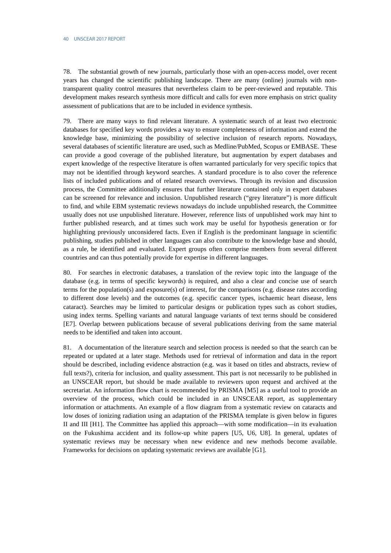78. The substantial growth of new journals, particularly those with an open-access model, over recent years has changed the scientific publishing landscape. There are many (online) journals with nontransparent quality control measures that nevertheless claim to be peer-reviewed and reputable. This development makes research synthesis more difficult and calls for even more emphasis on strict quality assessment of publications that are to be included in evidence synthesis.

79. There are many ways to find relevant literature. A systematic search of at least two electronic databases for specified key words provides a way to ensure completeness of information and extend the knowledge base, minimizing the possibility of selective inclusion of research reports. Nowadays, several databases of scientific literature are used, such as Medline/PubMed, Scopus or EMBASE. These can provide a good coverage of the published literature, but augmentation by expert databases and expert knowledge of the respective literature is often warranted particularly for very specific topics that may not be identified through keyword searches. A standard procedure is to also cover the reference lists of included publications and of related research overviews. Through its revision and discussion process, the Committee additionally ensures that further literature contained only in expert databases can be screened for relevance and inclusion. Unpublished research ("grey literature") is more difficult to find, and while EBM systematic reviews nowadays do include unpublished research, the Committee usually does not use unpublished literature. However, reference lists of unpublished work may hint to further published research, and at times such work may be useful for hypothesis generation or for highlighting previously unconsidered facts. Even if English is the predominant language in scientific publishing, studies published in other languages can also contribute to the knowledge base and should, as a rule, be identified and evaluated. Expert groups often comprise members from several different countries and can thus potentially provide for expertise in different languages.

80. For searches in electronic databases, a translation of the review topic into the language of the database (e.g. in terms of specific keywords) is required, and also a clear and concise use of search terms for the population(s) and exposure(s) of interest, for the comparisons (e.g. disease rates according to different dose levels) and the outcomes (e.g. specific cancer types, ischaemic heart disease, lens cataract). Searches may be limited to particular designs or publication types such as cohort studies, using index terms. Spelling variants and natural language variants of text terms should be considered [E7]. Overlap between publications because of several publications deriving from the same material needs to be identified and taken into account.

81. A documentation of the literature search and selection process is needed so that the search can be repeated or updated at a later stage. Methods used for retrieval of information and data in the report should be described, including evidence abstraction (e.g. was it based on titles and abstracts, review of full texts?), criteria for inclusion, and quality assessment. This part is not necessarily to be published in an UNSCEAR report, but should be made available to reviewers upon request and archived at the secretariat. An information flow chart is recommended by PRISMA [M5] as a useful tool to provide an overview of the process, which could be included in an UNSCEAR report, as supplementary information or attachments. An example of a flow diagram from a systematic review on cataracts and low doses of ionizing radiation using an adaptation of the PRISMA template is given below in figures II and III [H1]. The Committee has applied this approach—with some modification—in its evaluation on the Fukushima accident and its follow-up white papers [U5, U6, U8]. In general, updates of systematic reviews may be necessary when new evidence and new methods become available. Frameworks for decisions on updating systematic reviews are available [G1].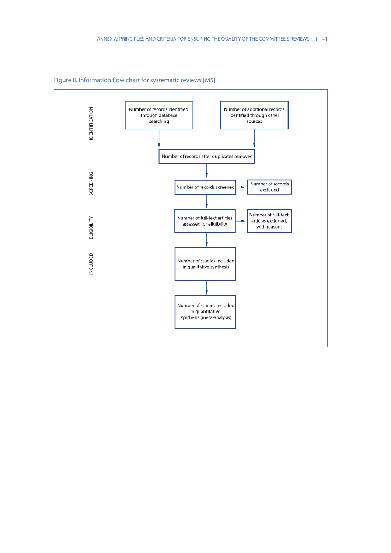

Figure II. Information flow chart for systematic reviews [M5]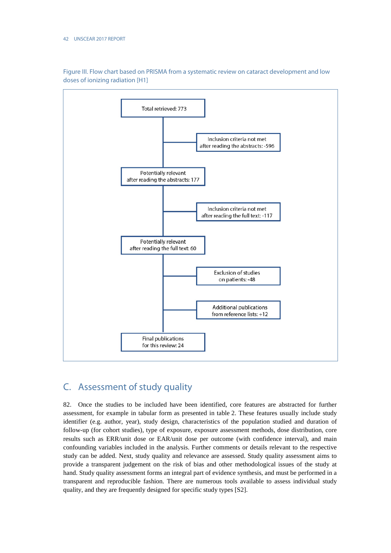

Figure III. Flow chart based on PRISMA from a systematic review on cataract development and low doses of ionizing radiation [H1]

# <span id="page-27-0"></span>C. Assessment of study quality

82. Once the studies to be included have been identified, core features are abstracted for further assessment, for example in tabular form as presented in table 2. These features usually include study identifier (e.g. author, year), study design, characteristics of the population studied and duration of follow-up (for cohort studies), type of exposure, exposure assessment methods, dose distribution, core results such as ERR/unit dose or EAR/unit dose per outcome (with confidence interval), and main confounding variables included in the analysis. Further comments or details relevant to the respective study can be added. Next, study quality and relevance are assessed. Study quality assessment aims to provide a transparent judgement on the risk of bias and other methodological issues of the study at hand. Study quality assessment forms an integral part of evidence synthesis, and must be performed in a transparent and reproducible fashion. There are numerous tools available to assess individual study quality, and they are frequently designed for specific study types [S2].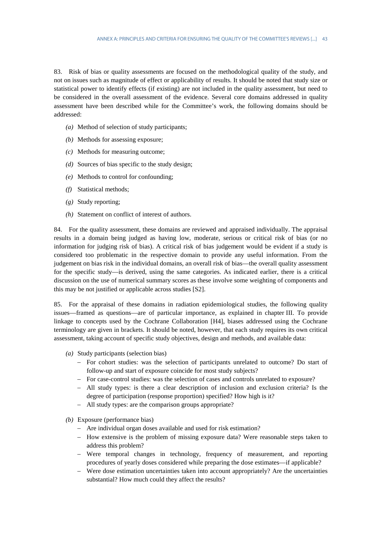83. Risk of bias or quality assessments are focused on the methodological quality of the study, and not on issues such as magnitude of effect or applicability of results. It should be noted that study size or statistical power to identify effects (if existing) are not included in the quality assessment, but need to be considered in the overall assessment of the evidence. Several core domains addressed in quality assessment have been described while for the Committee's work, the following domains should be addressed:

- *(a)* Method of selection of study participants;
- *(b)* Methods for assessing exposure;
- *(c)* Methods for measuring outcome;
- *(d)* Sources of bias specific to the study design;
- *(e)* Methods to control for confounding;
- *(f)* Statistical methods;
- *(g)* Study reporting;
- *(h)* Statement on conflict of interest of authors.

84. For the quality assessment, these domains are reviewed and appraised individually. The appraisal results in a domain being judged as having low, moderate, serious or critical risk of bias (or no information for judging risk of bias). A critical risk of bias judgement would be evident if a study is considered too problematic in the respective domain to provide any useful information. From the judgement on bias risk in the individual domains, an overall risk of bias—the overall quality assessment for the specific study—is derived, using the same categories. As indicated earlier, there is a critical discussion on the use of numerical summary scores as these involve some weighting of components and this may be not justified or applicable across studies [S2].

85. For the appraisal of these domains in radiation epidemiological studies, the following quality issues—framed as questions—are of particular importance, as explained in chapter III. To provide linkage to concepts used by the Cochrane Collaboration [H4], biases addressed using the Cochrane terminology are given in brackets. It should be noted, however, that each study requires its own critical assessment, taking account of specific study objectives, design and methods, and available data:

- *(a)* Study participants (selection bias)
	- − For cohort studies: was the selection of participants unrelated to outcome? Do start of follow-up and start of exposure coincide for most study subjects?
	- − For case-control studies: was the selection of cases and controls unrelated to exposure?
	- − All study types: is there a clear description of inclusion and exclusion criteria? Is the degree of participation (response proportion) specified? How high is it?
	- − All study types: are the comparison groups appropriate?
- *(b)* Exposure (performance bias)
	- − Are individual organ doses available and used for risk estimation?
	- − How extensive is the problem of missing exposure data? Were reasonable steps taken to address this problem?
	- − Were temporal changes in technology, frequency of measurement, and reporting procedures of yearly doses considered while preparing the dose estimates—if applicable?
	- − Were dose estimation uncertainties taken into account appropriately? Are the uncertainties substantial? How much could they affect the results?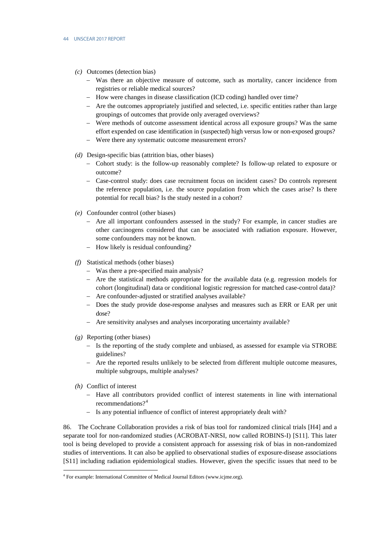- *(c)* Outcomes (detection bias)
	- − Was there an objective measure of outcome, such as mortality, cancer incidence from registries or reliable medical sources?
	- − How were changes in disease classification (ICD coding) handled over time?
	- − Are the outcomes appropriately justified and selected, i.e. specific entities rather than large groupings of outcomes that provide only averaged overviews?
	- − Were methods of outcome assessment identical across all exposure groups? Was the same effort expended on case identification in (suspected) high versus low or non-exposed groups?
	- Were there any systematic outcome measurement errors?
- *(d)* Design-specific bias (attrition bias, other biases)
	- − Cohort study: is the follow-up reasonably complete? Is follow-up related to exposure or outcome?
	- − Case-control study: does case recruitment focus on incident cases? Do controls represent the reference population, i.e. the source population from which the cases arise? Is there potential for recall bias? Is the study nested in a cohort?
- *(e)* Confounder control (other biases)
	- Are all important confounders assessed in the study? For example, in cancer studies are other carcinogens considered that can be associated with radiation exposure. However, some confounders may not be known.
	- − How likely is residual confounding?
- *(f)* Statistical methods (other biases)
	- − Was there a pre-specified main analysis?
	- − Are the statistical methods appropriate for the available data (e.g. regression models for cohort (longitudinal) data or conditional logistic regression for matched case-control data)?
	- − Are confounder-adjusted or stratified analyses available?
	- − Does the study provide dose-response analyses and measures such as ERR or EAR per unit dose?
	- − Are sensitivity analyses and analyses incorporating uncertainty available?
- *(g)* Reporting (other biases)
	- − Is the reporting of the study complete and unbiased, as assessed for example via STROBE guidelines?
	- − Are the reported results unlikely to be selected from different multiple outcome measures, multiple subgroups, multiple analyses?
- *(h)* Conflict of interest

-

- − Have all contributors provided conflict of interest statements in line with international recommendations?<sup>[4](#page-29-0)</sup>
- − Is any potential influence of conflict of interest appropriately dealt with?

86. The Cochrane Collaboration provides a risk of bias tool for randomized clinical trials [H4] and a separate tool for non-randomized studies (ACROBAT-NRSI, now called ROBINS-I) [S11]. This later tool is being developed to provide a consistent approach for assessing risk of bias in non-randomized studies of interventions. It can also be applied to observational studies of exposure-disease associations [S11] including radiation epidemiological studies. However, given the specific issues that need to be

<span id="page-29-0"></span><sup>4</sup> For example: International Committee of Medical Journal Editors (www.icjme.org).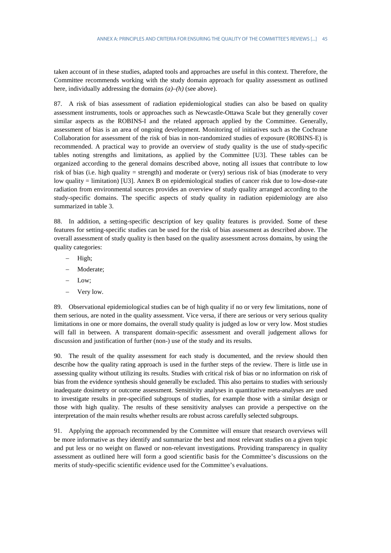taken account of in these studies, adapted tools and approaches are useful in this context. Therefore, the Committee recommends working with the study domain approach for quality assessment as outlined here, individually addressing the domains *(a)–(h)* (see above).

87. A risk of bias assessment of radiation epidemiological studies can also be based on quality assessment instruments, tools or approaches such as Newcastle-Ottawa Scale but they generally cover similar aspects as the ROBINS-I and the related approach applied by the Committee. Generally, assessment of bias is an area of ongoing development. Monitoring of initiatives such as the Cochrane Collaboration for assessment of the risk of bias in non‐randomized studies of exposure (ROBINS‐E) is recommended. A practical way to provide an overview of study quality is the use of study-specific tables noting strengths and limitations, as applied by the Committee [U3]. These tables can be organized according to the general domains described above, noting all issues that contribute to low risk of bias (i.e. high quality = strength) and moderate or (very) serious risk of bias (moderate to very low quality = limitation) [U3]. Annex B on epidemiological studies of cancer risk due to low-dose-rate radiation from environmental sources provides an overview of study quality arranged according to the study-specific domains. The specific aspects of study quality in radiation epidemiology are also summarized in table 3.

88. In addition, a setting-specific description of key quality features is provided. Some of these features for setting-specific studies can be used for the risk of bias assessment as described above. The overall assessment of study quality is then based on the quality assessment across domains, by using the quality categories:

- High;
- Moderate;
- Low:
- Very low.

89. Observational epidemiological studies can be of high quality if no or very few limitations, none of them serious, are noted in the quality assessment. Vice versa, if there are serious or very serious quality limitations in one or more domains, the overall study quality is judged as low or very low. Most studies will fall in between. A transparent domain-specific assessment and overall judgement allows for discussion and justification of further (non-) use of the study and its results.

90. The result of the quality assessment for each study is documented, and the review should then describe how the quality rating approach is used in the further steps of the review. There is little use in assessing quality without utilizing its results. Studies with critical risk of bias or no information on risk of bias from the evidence synthesis should generally be excluded. This also pertains to studies with seriously inadequate dosimetry or outcome assessment. Sensitivity analyses in quantitative meta-analyses are used to investigate results in pre-specified subgroups of studies, for example those with a similar design or those with high quality. The results of these sensitivity analyses can provide a perspective on the interpretation of the main results whether results are robust across carefully selected subgroups.

91. Applying the approach recommended by the Committee will ensure that research overviews will be more informative as they identify and summarize the best and most relevant studies on a given topic and put less or no weight on flawed or non-relevant investigations. Providing transparency in quality assessment as outlined here will form a good scientific basis for the Committee's discussions on the merits of study-specific scientific evidence used for the Committee's evaluations.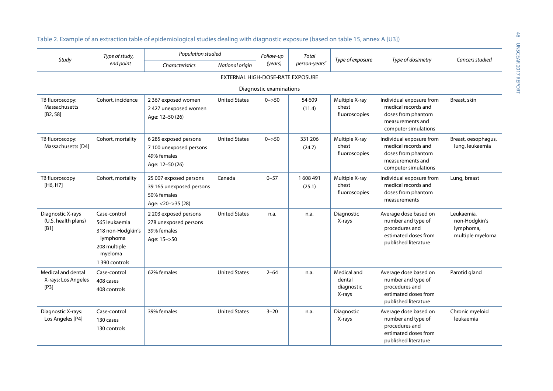| Study                                             | Type of study,<br>end point                                                                                 | Population studied                                                                     |                      | Follow-up               | Total                     |                                               | Type of dosimetry                                                                                                 | Cancers studied                                              |
|---------------------------------------------------|-------------------------------------------------------------------------------------------------------------|----------------------------------------------------------------------------------------|----------------------|-------------------------|---------------------------|-----------------------------------------------|-------------------------------------------------------------------------------------------------------------------|--------------------------------------------------------------|
|                                                   |                                                                                                             | Characteristics                                                                        | National origin      | (years)                 | person-years <sup>a</sup> | Type of exposure                              |                                                                                                                   |                                                              |
| EXTERNAL HIGH-DOSE-RATE EXPOSURE                  |                                                                                                             |                                                                                        |                      |                         |                           |                                               |                                                                                                                   |                                                              |
|                                                   |                                                                                                             |                                                                                        |                      | Diagnostic examinations |                           |                                               |                                                                                                                   |                                                              |
| TB fluoroscopy:<br>Massachusetts<br>[B2, S8]      | Cohort, incidence                                                                                           | 2 367 exposed women<br>2427 unexposed women<br>Age: 12-50 (26)                         | <b>United States</b> | $0 - > 50$              | 54 609<br>(11.4)          | Multiple X-ray<br>chest<br>fluoroscopies      | Individual exposure from<br>medical records and<br>doses from phantom<br>measurements and<br>computer simulations | Breast, skin                                                 |
| TB fluoroscopy:<br>Massachusetts [D4]             | Cohort, mortality                                                                                           | 6 285 exposed persons<br>7 100 unexposed persons<br>49% females<br>Age: 12-50 (26)     | <b>United States</b> | $0 - > 50$              | 331 206<br>(24.7)         | Multiple X-ray<br>chest<br>fluoroscopies      | Individual exposure from<br>medical records and<br>doses from phantom<br>measurements and<br>computer simulations | Breast, oesophagus,<br>lung, leukaemia                       |
| TB fluoroscopy<br>[H6, H7]                        | Cohort, mortality                                                                                           | 25 007 exposed persons<br>39 165 unexposed persons<br>50% females<br>Age: <20->35 (28) | Canada               | $0 - 57$                | 1608491<br>(25.1)         | Multiple X-ray<br>chest<br>fluoroscopies      | Individual exposure from<br>medical records and<br>doses from phantom<br>measurements                             | Lung, breast                                                 |
| Diagnostic X-rays<br>(U.S. health plans)<br>[B1]  | Case-control<br>565 leukaemia<br>318 non-Hodgkin's<br>lymphoma<br>208 multiple<br>myeloma<br>1 390 controls | 2 203 exposed persons<br>278 unexposed persons<br>39% females<br>Age: 15->50           | <b>United States</b> | n.a.                    | n.a.                      | Diagnostic<br>X-rays                          | Average dose based on<br>number and type of<br>procedures and<br>estimated doses from<br>published literature     | Leukaemia,<br>non-Hodgkin's<br>lymphoma,<br>multiple myeloma |
| Medical and dental<br>X-rays: Los Angeles<br>[P3] | Case-control<br>408 cases<br>408 controls                                                                   | 62% females                                                                            | <b>United States</b> | $2 - 64$                | n.a.                      | Medical and<br>dental<br>diagnostic<br>X-rays | Average dose based on<br>number and type of<br>procedures and<br>estimated doses from<br>published literature     | Parotid gland                                                |
| Diagnostic X-rays:<br>Los Angeles [P4]            | Case-control<br>130 cases<br>130 controls                                                                   | 39% females                                                                            | <b>United States</b> | $3 - 20$                | n.a.                      | Diagnostic<br>X-rays                          | Average dose based on<br>number and type of<br>procedures and<br>estimated doses from<br>published literature     | Chronic myeloid<br>leukaemia                                 |

#### Table 2. Example of an extraction table of epidemiological studies dealing with diagnostic exposure (based on table 15, annex A [U3])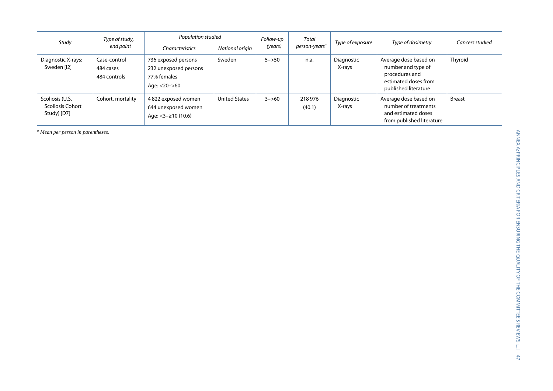| Study                                                     | Type of study,<br>end point               | Population studied                                                          |                      | Follow-up  | Total                     | Type of exposure     | Type of dosimetry                                                                                             | Cancers studied |
|-----------------------------------------------------------|-------------------------------------------|-----------------------------------------------------------------------------|----------------------|------------|---------------------------|----------------------|---------------------------------------------------------------------------------------------------------------|-----------------|
|                                                           |                                           | <b>Characteristics</b>                                                      | National origin      | (years)    | person-years <sup>a</sup> |                      |                                                                                                               |                 |
| Diagnostic X-rays:<br>Sweden [12]                         | Case-control<br>484 cases<br>484 controls | 736 exposed persons<br>232 unexposed persons<br>77% females<br>Age: <20->60 | Sweden               | $5 - > 50$ | n.a.                      | Diagnostic<br>X-rays | Average dose based on<br>number and type of<br>procedures and<br>estimated doses from<br>published literature | Thyroid         |
| Scoliosis (U.S.<br><b>Scoliosis Cohort</b><br>Study) [D7] | Cohort, mortality                         | 4822 exposed women<br>644 unexposed women<br>Age: $<$ 3 $ \geq$ 10 (10.6)   | <b>United States</b> | $3 - > 60$ | 218 976<br>(40.1)         | Diagnostic<br>X-rays | Average dose based on<br>number of treatments<br>and estimated doses<br>from published literature             | <b>Breast</b>   |

*<sup>a</sup> Mean per person in parentheses.*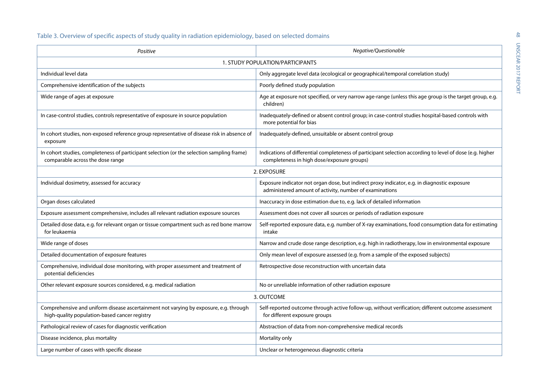## Table 3. Overview of specific aspects of study quality in radiation epidemiology, based on selected domains

| Positive                                                                                                                               | Negative/Questionable                                                                                                                                   |  |  |  |  |
|----------------------------------------------------------------------------------------------------------------------------------------|---------------------------------------------------------------------------------------------------------------------------------------------------------|--|--|--|--|
| 1. STUDY POPULATION/PARTICIPANTS                                                                                                       |                                                                                                                                                         |  |  |  |  |
| Individual level data                                                                                                                  | Only aggregate level data (ecological or geographical/temporal correlation study)                                                                       |  |  |  |  |
| Comprehensive identification of the subjects                                                                                           | Poorly defined study population                                                                                                                         |  |  |  |  |
| Wide range of ages at exposure                                                                                                         | Age at exposure not specified, or very narrow age-range (unless this age group is the target group, e.g.<br>children)                                   |  |  |  |  |
| In case-control studies, controls representative of exposure in source population                                                      | Inadequately-defined or absent control group; in case-control studies hospital-based controls with<br>more potential for bias                           |  |  |  |  |
| In cohort studies, non-exposed reference group representative of disease risk in absence of<br>exposure                                | Inadequately-defined, unsuitable or absent control group                                                                                                |  |  |  |  |
| In cohort studies, completeness of participant selection (or the selection sampling frame)<br>comparable across the dose range         | Indications of differential completeness of participant selection according to level of dose (e.g. higher<br>completeness in high dose/exposure groups) |  |  |  |  |
|                                                                                                                                        | 2. EXPOSURE                                                                                                                                             |  |  |  |  |
| Individual dosimetry, assessed for accuracy                                                                                            | Exposure indicator not organ dose, but indirect proxy indicator, e.g. in diagnostic exposure<br>administered amount of activity, number of examinations |  |  |  |  |
| Organ doses calculated                                                                                                                 | Inaccuracy in dose estimation due to, e.g. lack of detailed information                                                                                 |  |  |  |  |
| Exposure assessment comprehensive, includes all relevant radiation exposure sources                                                    | Assessment does not cover all sources or periods of radiation exposure                                                                                  |  |  |  |  |
| Detailed dose data, e.g. for relevant organ or tissue compartment such as red bone marrow<br>for leukaemia                             | Self-reported exposure data, e.g. number of X-ray examinations, food consumption data for estimating<br>intake                                          |  |  |  |  |
| Wide range of doses                                                                                                                    | Narrow and crude dose range description, e.g. high in radiotherapy, low in environmental exposure                                                       |  |  |  |  |
| Detailed documentation of exposure features                                                                                            | Only mean level of exposure assessed (e.g. from a sample of the exposed subjects)                                                                       |  |  |  |  |
| Comprehensive, individual dose monitoring, with proper assessment and treatment of<br>potential deficiencies                           | Retrospective dose reconstruction with uncertain data                                                                                                   |  |  |  |  |
| Other relevant exposure sources considered, e.g. medical radiation                                                                     | No or unreliable information of other radiation exposure                                                                                                |  |  |  |  |
| 3. OUTCOME                                                                                                                             |                                                                                                                                                         |  |  |  |  |
| Comprehensive and uniform disease ascertainment not varying by exposure, e.g. through<br>high-quality population-based cancer registry | Self-reported outcome through active follow-up, without verification; different outcome assessment<br>for different exposure groups                     |  |  |  |  |
| Pathological review of cases for diagnostic verification                                                                               | Abstraction of data from non-comprehensive medical records                                                                                              |  |  |  |  |
| Disease incidence, plus mortality                                                                                                      | Mortality only                                                                                                                                          |  |  |  |  |
| Large number of cases with specific disease                                                                                            | Unclear or heterogeneous diagnostic criteria                                                                                                            |  |  |  |  |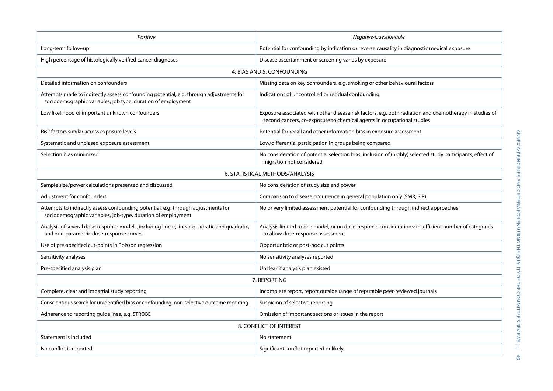| Positive                                                                                                                                               | Negative/Questionable                                                                                                                                                             |  |  |  |  |  |
|--------------------------------------------------------------------------------------------------------------------------------------------------------|-----------------------------------------------------------------------------------------------------------------------------------------------------------------------------------|--|--|--|--|--|
| Long-term follow-up                                                                                                                                    | Potential for confounding by indication or reverse causality in diagnostic medical exposure                                                                                       |  |  |  |  |  |
| High percentage of histologically verified cancer diagnoses                                                                                            | Disease ascertainment or screening varies by exposure                                                                                                                             |  |  |  |  |  |
| 4. BIAS AND 5. CONFOUNDING                                                                                                                             |                                                                                                                                                                                   |  |  |  |  |  |
| Detailed information on confounders                                                                                                                    | Missing data on key confounders, e.g. smoking or other behavioural factors                                                                                                        |  |  |  |  |  |
| Attempts made to indirectly assess confounding potential, e.g. through adjustments for<br>sociodemographic variables, job type, duration of employment | Indications of uncontrolled or residual confounding                                                                                                                               |  |  |  |  |  |
| Low likelihood of important unknown confounders                                                                                                        | Exposure associated with other disease risk factors, e.g. both radiation and chemotherapy in studies of<br>second cancers, co-exposure to chemical agents in occupational studies |  |  |  |  |  |
| Risk factors similar across exposure levels                                                                                                            | Potential for recall and other information bias in exposure assessment                                                                                                            |  |  |  |  |  |
| Systematic and unbiased exposure assessment                                                                                                            | Low/differential participation in groups being compared                                                                                                                           |  |  |  |  |  |
| Selection bias minimized                                                                                                                               | No consideration of potential selection bias, inclusion of (highly) selected study participants; effect of<br>migration not considered                                            |  |  |  |  |  |
|                                                                                                                                                        | 6. STATISTICAL METHODS/ANALYSIS                                                                                                                                                   |  |  |  |  |  |
| Sample size/power calculations presented and discussed                                                                                                 | No consideration of study size and power                                                                                                                                          |  |  |  |  |  |
| Adjustment for confounders                                                                                                                             | Comparison to disease occurrence in general population only (SMR, SIR)                                                                                                            |  |  |  |  |  |
| Attempts to indirectly assess confounding potential, e.g. through adjustments for<br>sociodemographic variables, job-type, duration of employment      | No or very limited assessment potential for confounding through indirect approaches                                                                                               |  |  |  |  |  |
| Analysis of several dose-response models, including linear, linear-quadratic and quadratic,<br>and non-parametric dose-response curves                 | Analysis limited to one model, or no dose-response considerations; insufficient number of categories<br>to allow dose-response assessment                                         |  |  |  |  |  |
| Use of pre-specified cut-points in Poisson regression                                                                                                  | Opportunistic or post-hoc cut points                                                                                                                                              |  |  |  |  |  |
| Sensitivity analyses                                                                                                                                   | No sensitivity analyses reported                                                                                                                                                  |  |  |  |  |  |
| Pre-specified analysis plan                                                                                                                            | Unclear if analysis plan existed                                                                                                                                                  |  |  |  |  |  |
|                                                                                                                                                        | 7. REPORTING                                                                                                                                                                      |  |  |  |  |  |
| Complete, clear and impartial study reporting                                                                                                          | Incomplete report, report outside range of reputable peer-reviewed journals                                                                                                       |  |  |  |  |  |
| Conscientious search for unidentified bias or confounding, non-selective outcome reporting                                                             | Suspicion of selective reporting                                                                                                                                                  |  |  |  |  |  |
| Adherence to reporting guidelines, e.g. STROBE                                                                                                         | Omission of important sections or issues in the report                                                                                                                            |  |  |  |  |  |
| 8. CONFLICT OF INTEREST                                                                                                                                |                                                                                                                                                                                   |  |  |  |  |  |
| Statement is included                                                                                                                                  | No statement                                                                                                                                                                      |  |  |  |  |  |
| No conflict is reported                                                                                                                                | Significant conflict reported or likely                                                                                                                                           |  |  |  |  |  |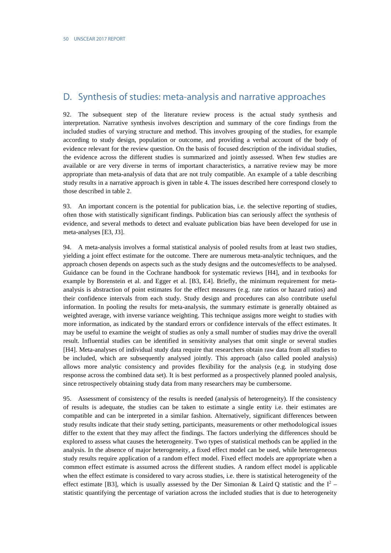# <span id="page-35-0"></span>D. Synthesis of studies: meta-analysis and narrative approaches

92. The subsequent step of the literature review process is the actual study synthesis and interpretation. Narrative synthesis involves description and summary of the core findings from the included studies of varying structure and method. This involves grouping of the studies, for example according to study design, population or outcome, and providing a verbal account of the body of evidence relevant for the review question. On the basis of focused description of the individual studies, the evidence across the different studies is summarized and jointly assessed. When few studies are available or are very diverse in terms of important characteristics, a narrative review may be more appropriate than meta-analysis of data that are not truly compatible. An example of a table describing study results in a narrative approach is given in table 4. The issues described here correspond closely to those described in table 2.

93. An important concern is the potential for publication bias, i.e. the selective reporting of studies, often those with statistically significant findings. Publication bias can seriously affect the synthesis of evidence, and several methods to detect and evaluate publication bias have been developed for use in meta-analyses [E3, J3].

94. A meta-analysis involves a formal statistical analysis of pooled results from at least two studies, yielding a joint effect estimate for the outcome. There are numerous meta-analytic techniques, and the approach chosen depends on aspects such as the study designs and the outcomes/effects to be analysed. Guidance can be found in the Cochrane handbook for systematic reviews [H4], and in textbooks for example by Borenstein et al. and Egger et al. [B3, E4]. Briefly, the minimum requirement for metaanalysis is abstraction of point estimates for the effect measures (e.g. rate ratios or hazard ratios) and their confidence intervals from each study. Study design and procedures can also contribute useful information. In pooling the results for meta-analysis, the summary estimate is generally obtained as weighted average, with inverse variance weighting. This technique assigns more weight to studies with more information, as indicated by the standard errors or confidence intervals of the effect estimates. It may be useful to examine the weight of studies as only a small number of studies may drive the overall result. Influential studies can be identified in sensitivity analyses that omit single or several studies [H4]. Meta-analyses of individual study data require that researchers obtain raw data from all studies to be included, which are subsequently analysed jointly. This approach (also called pooled analysis) allows more analytic consistency and provides flexibility for the analysis (e.g. in studying dose response across the combined data set). It is best performed as a prospectively planned pooled analysis, since retrospectively obtaining study data from many researchers may be cumbersome.

95. Assessment of consistency of the results is needed (analysis of heterogeneity). If the consistency of results is adequate, the studies can be taken to estimate a single entity i.e. their estimates are compatible and can be interpreted in a similar fashion. Alternatively, significant differences between study results indicate that their study setting, participants, measurements or other methodological issues differ to the extent that they may affect the findings. The factors underlying the differences should be explored to assess what causes the heterogeneity. Two types of statistical methods can be applied in the analysis. In the absence of major heterogeneity, a fixed effect model can be used, while heterogeneous study results require application of a random effect model. Fixed effect models are appropriate when a common effect estimate is assumed across the different studies. A random effect model is applicable when the effect estimate is considered to vary across studies, i.e. there is statistical heterogeneity of the effect estimate [B3], which is usually assessed by the Der Simonian & Laird Q statistic and the  $I^2$  – statistic quantifying the percentage of variation across the included studies that is due to heterogeneity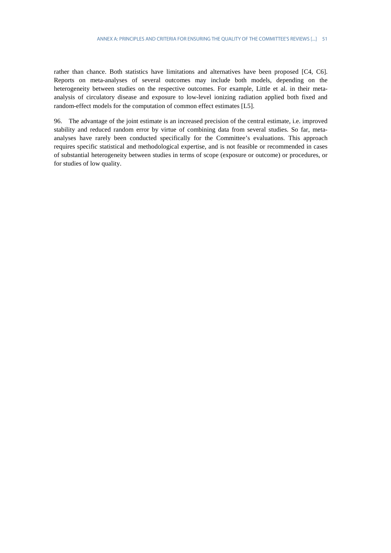rather than chance. Both statistics have limitations and alternatives have been proposed [C4, C6]. Reports on meta-analyses of several outcomes may include both models, depending on the heterogeneity between studies on the respective outcomes. For example, Little et al. in their metaanalysis of circulatory disease and exposure to low-level ionizing radiation applied both fixed and random-effect models for the computation of common effect estimates [L5].

96. The advantage of the joint estimate is an increased precision of the central estimate, i.e. improved stability and reduced random error by virtue of combining data from several studies. So far, metaanalyses have rarely been conducted specifically for the Committee's evaluations. This approach requires specific statistical and methodological expertise, and is not feasible or recommended in cases of substantial heterogeneity between studies in terms of scope (exposure or outcome) or procedures, or for studies of low quality.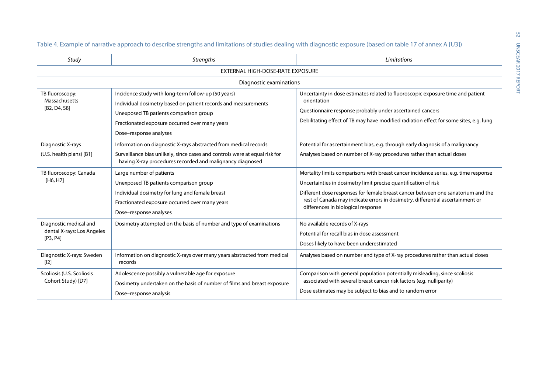| Study                                                            | <b>Strengths</b>                                                                                                                                                                                                                            | Limitations                                                                                                                                                                                                                                                                                                                                                         |  |
|------------------------------------------------------------------|---------------------------------------------------------------------------------------------------------------------------------------------------------------------------------------------------------------------------------------------|---------------------------------------------------------------------------------------------------------------------------------------------------------------------------------------------------------------------------------------------------------------------------------------------------------------------------------------------------------------------|--|
|                                                                  | EXTERNAL HIGH-DOSE-RATE EXPOSURE                                                                                                                                                                                                            |                                                                                                                                                                                                                                                                                                                                                                     |  |
|                                                                  | Diagnostic examinations                                                                                                                                                                                                                     |                                                                                                                                                                                                                                                                                                                                                                     |  |
| TB fluoroscopy:<br>Massachusetts<br>[B2, D4, S8]                 | Incidence study with long-term follow-up (50 years)<br>Individual dosimetry based on patient records and measurements<br>Unexposed TB patients comparison group<br>Fractionated exposure occurred over many years<br>Dose-response analyses | Uncertainty in dose estimates related to fluoroscopic exposure time and patient<br>orientation<br>Questionnaire response probably under ascertained cancers<br>Debilitating effect of TB may have modified radiation effect for some sites, e.g. lung                                                                                                               |  |
| Diagnostic X-rays<br>(U.S. health plans) [B1]                    | Information on diagnostic X-rays abstracted from medical records<br>Surveillance bias unlikely, since cases and controls were at equal risk for<br>having X-ray procedures recorded and malignancy diagnosed                                | Potential for ascertainment bias, e.g. through early diagnosis of a malignancy<br>Analyses based on number of X-ray procedures rather than actual doses                                                                                                                                                                                                             |  |
| TB fluoroscopy: Canada<br>[H6, H7]                               | Large number of patients<br>Unexposed TB patients comparison group<br>Individual dosimetry for lung and female breast<br>Fractionated exposure occurred over many years<br>Dose-response analyses                                           | Mortality limits comparisons with breast cancer incidence series, e.g. time response<br>Uncertainties in dosimetry limit precise quantification of risk<br>Different dose responses for female breast cancer between one sanatorium and the<br>rest of Canada may indicate errors in dosimetry, differential ascertainment or<br>differences in biological response |  |
| Diagnostic medical and<br>dental X-rays: Los Angeles<br>[P3, P4] | Dosimetry attempted on the basis of number and type of examinations                                                                                                                                                                         | No available records of X-rays<br>Potential for recall bias in dose assessment<br>Doses likely to have been underestimated                                                                                                                                                                                                                                          |  |
| Diagnostic X-rays: Sweden<br>[12]                                | Information on diagnostic X-rays over many years abstracted from medical<br>records                                                                                                                                                         | Analyses based on number and type of X-ray procedures rather than actual doses                                                                                                                                                                                                                                                                                      |  |
| Scoliosis (U.S. Scoliosis<br>Cohort Study) [D7]                  | Adolescence possibly a vulnerable age for exposure<br>Dosimetry undertaken on the basis of number of films and breast exposure<br>Dose-response analysis                                                                                    | Comparison with general population potentially misleading, since scoliosis<br>associated with several breast cancer risk factors (e.g. nulliparity)<br>Dose estimates may be subject to bias and to random error                                                                                                                                                    |  |

Table 4. Example of narrative approach to describe strengths and limitations of studies dealing with diagnostic exposure (based on table 17 of annex A [U3])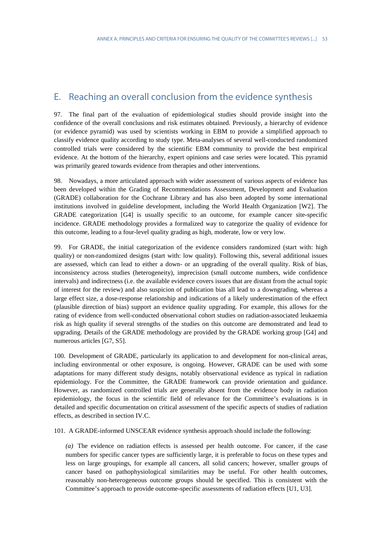# <span id="page-38-0"></span>E. Reaching an overall conclusion from the evidence synthesis

97. The final part of the evaluation of epidemiological studies should provide insight into the confidence of the overall conclusions and risk estimates obtained. Previously, a hierarchy of evidence (or evidence pyramid) was used by scientists working in EBM to provide a simplified approach to classify evidence quality according to study type. Meta-analyses of several well-conducted randomized controlled trials were considered by the scientific EBM community to provide the best empirical evidence. At the bottom of the hierarchy, expert opinions and case series were located. This pyramid was primarily geared towards evidence from therapies and other interventions.

98. Nowadays, a more articulated approach with wider assessment of various aspects of evidence has been developed within the Grading of Recommendations Assessment, Development and Evaluation (GRADE) collaboration for the Cochrane Library and has also been adopted by some international institutions involved in guideline development, including the World Health Organization [W2]. The GRADE categorization [G4] is usually specific to an outcome, for example cancer site-specific incidence. GRADE methodology provides a formalized way to categorize the quality of evidence for this outcome, leading to a four-level quality grading as high, moderate, low or very low.

99. For GRADE, the initial categorization of the evidence considers randomized (start with: high quality) or non-randomized designs (start with: low quality). Following this, several additional issues are assessed, which can lead to either a down- or an upgrading of the overall quality. Risk of bias, inconsistency across studies (heterogeneity), imprecision (small outcome numbers, wide confidence intervals) and indirectness (i.e. the available evidence covers issues that are distant from the actual topic of interest for the review) and also suspicion of publication bias all lead to a downgrading, whereas a large effect size, a dose-response relationship and indications of a likely underestimation of the effect (plausible direction of bias) support an evidence quality upgrading. For example, this allows for the rating of evidence from well-conducted observational cohort studies on radiation-associated leukaemia risk as high quality if several strengths of the studies on this outcome are demonstrated and lead to upgrading. Details of the GRADE methodology are provided by the GRADE working group [G4] and numerous articles [G7, S5].

100. Development of GRADE, particularly its application to and development for non-clinical areas, including environmental or other exposure, is ongoing. However, GRADE can be used with some adaptations for many different study designs, notably observational evidence as typical in radiation epidemiology. For the Committee, the GRADE framework can provide orientation and guidance. However, as randomized controlled trials are generally absent from the evidence body in radiation epidemiology, the focus in the scientific field of relevance for the Committee's evaluations is in detailed and specific documentation on critical assessment of the specific aspects of studies of radiation effects, as described in section IV.C.

101. A GRADE-informed UNSCEAR evidence synthesis approach should include the following:

*(a)* The evidence on radiation effects is assessed per health outcome. For cancer, if the case numbers for specific cancer types are sufficiently large, it is preferable to focus on these types and less on large groupings, for example all cancers, all solid cancers; however, smaller groups of cancer based on pathophysiological similarities may be useful. For other health outcomes, reasonably non-heterogeneous outcome groups should be specified. This is consistent with the Committee's approach to provide outcome-specific assessments of radiation effects [U1, U3].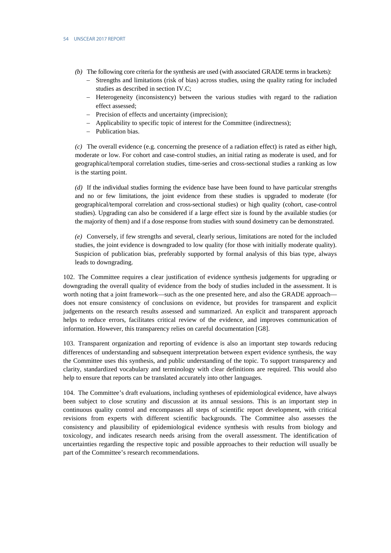- *(b)* The following core criteria for the synthesis are used (with associated GRADE terms in brackets):
	- − Strengths and limitations (risk of bias) across studies, using the quality rating for included studies as described in section IV.C;
	- − Heterogeneity (inconsistency) between the various studies with regard to the radiation effect assessed;
	- − Precision of effects and uncertainty (imprecision);
	- − Applicability to specific topic of interest for the Committee (indirectness);
	- − Publication bias.

*(c)* The overall evidence (e.g. concerning the presence of a radiation effect) is rated as either high, moderate or low. For cohort and case-control studies, an initial rating as moderate is used, and for geographical/temporal correlation studies, time-series and cross-sectional studies a ranking as low is the starting point.

*(d)* If the individual studies forming the evidence base have been found to have particular strengths and no or few limitations, the joint evidence from these studies is upgraded to moderate (for geographical/temporal correlation and cross-sectional studies) or high quality (cohort, case-control studies). Upgrading can also be considered if a large effect size is found by the available studies (or the majority of them) and if a dose response from studies with sound dosimetry can be demonstrated.

*(e)* Conversely, if few strengths and several, clearly serious, limitations are noted for the included studies, the joint evidence is downgraded to low quality (for those with initially moderate quality). Suspicion of publication bias, preferably supported by formal analysis of this bias type, always leads to downgrading.

102. The Committee requires a clear justification of evidence synthesis judgements for upgrading or downgrading the overall quality of evidence from the body of studies included in the assessment. It is worth noting that a joint framework—such as the one presented here, and also the GRADE approach does not ensure consistency of conclusions on evidence, but provides for transparent and explicit judgements on the research results assessed and summarized. An explicit and transparent approach helps to reduce errors, facilitates critical review of the evidence, and improves communication of information. However, this transparency relies on careful documentation [G8].

103. Transparent organization and reporting of evidence is also an important step towards reducing differences of understanding and subsequent interpretation between expert evidence synthesis, the way the Committee uses this synthesis, and public understanding of the topic. To support transparency and clarity, standardized vocabulary and terminology with clear definitions are required. This would also help to ensure that reports can be translated accurately into other languages.

104. The Committee's draft evaluations, including syntheses of epidemiological evidence, have always been subject to close scrutiny and discussion at its annual sessions. This is an important step in continuous quality control and encompasses all steps of scientific report development, with critical revisions from experts with different scientific backgrounds. The Committee also assesses the consistency and plausibility of epidemiological evidence synthesis with results from biology and toxicology, and indicates research needs arising from the overall assessment. The identification of uncertainties regarding the respective topic and possible approaches to their reduction will usually be part of the Committee's research recommendations.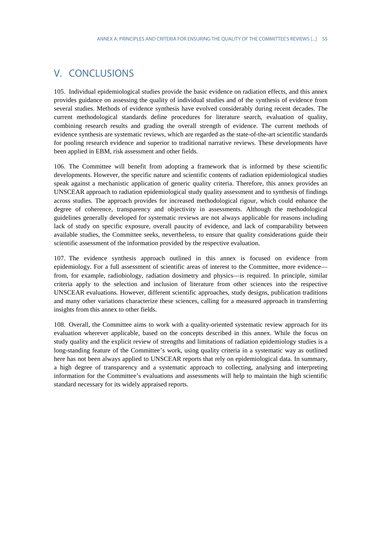# <span id="page-40-0"></span>V. CONCLUSIONS

105. Individual epidemiological studies provide the basic evidence on radiation effects, and this annex provides guidance on assessing the quality of individual studies and of the synthesis of evidence from several studies. Methods of evidence synthesis have evolved considerably during recent decades. The current methodological standards define procedures for literature search, evaluation of quality, combining research results and grading the overall strength of evidence. The current methods of evidence synthesis are systematic reviews, which are regarded as the state-of-the-art scientific standards for pooling research evidence and superior to traditional narrative reviews. These developments have been applied in EBM, risk assessment and other fields.

106. The Committee will benefit from adopting a framework that is informed by these scientific developments. However, the specific nature and scientific contents of radiation epidemiological studies speak against a mechanistic application of generic quality criteria. Therefore, this annex provides an UNSCEAR approach to radiation epidemiological study quality assessment and to synthesis of findings across studies. The approach provides for increased methodological rigour, which could enhance the degree of coherence, transparency and objectivity in assessments. Although the methodological guidelines generally developed for systematic reviews are not always applicable for reasons including lack of study on specific exposure, overall paucity of evidence, and lack of comparability between available studies, the Committee seeks, nevertheless, to ensure that quality considerations guide their scientific assessment of the information provided by the respective evaluation.

107. The evidence synthesis approach outlined in this annex is focused on evidence from epidemiology. For a full assessment of scientific areas of interest to the Committee, more evidence from, for example, radiobiology, radiation dosimetry and physics—is required. In principle, similar criteria apply to the selection and inclusion of literature from other sciences into the respective UNSCEAR evaluations. However, different scientific approaches, study designs, publication traditions and many other variations characterize these sciences, calling for a measured approach in transferring insights from this annex to other fields.

108. Overall, the Committee aims to work with a quality-oriented systematic review approach for its evaluation wherever applicable, based on the concepts described in this annex. While the focus on study quality and the explicit review of strengths and limitations of radiation epidemiology studies is a long-standing feature of the Committee's work, using quality criteria in a systematic way as outlined here has not been always applied to UNSCEAR reports that rely on epidemiological data. In summary, a high degree of transparency and a systematic approach to collecting, analysing and interpreting information for the Committee's evaluations and assessments will help to maintain the high scientific standard necessary for its widely appraised reports.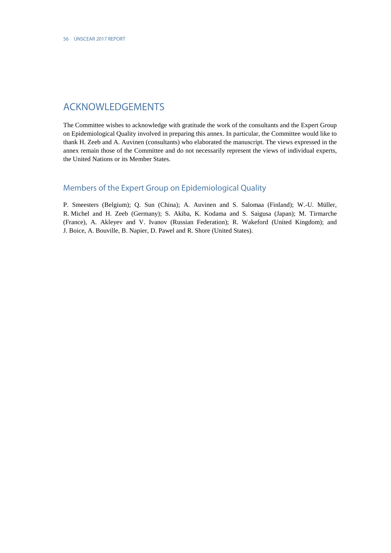# <span id="page-41-0"></span>ACKNOWLEDGEMENTS

The Committee wishes to acknowledge with gratitude the work of the consultants and the Expert Group on Epidemiological Quality involved in preparing this annex. In particular, the Committee would like to thank H. Zeeb and A. Auvinen (consultants) who elaborated the manuscript. The views expressed in the annex remain those of the Committee and do not necessarily represent the views of individual experts, the United Nations or its Member States.

## <span id="page-41-1"></span>Members of the Expert Group on Epidemiological Quality

P. Smeesters (Belgium); Q. Sun (China); A. Auvinen and S. Salomaa (Finland); W.-U. Müller, R. Michel and H. Zeeb (Germany); S. Akiba, K. Kodama and S. Saigusa (Japan); M. Tirmarche (France), A. Akleyev and V. Ivanov (Russian Federation); R. Wakeford (United Kingdom); and J. Boice, A. Bouville, B. Napier, D. Pawel and R. Shore (United States).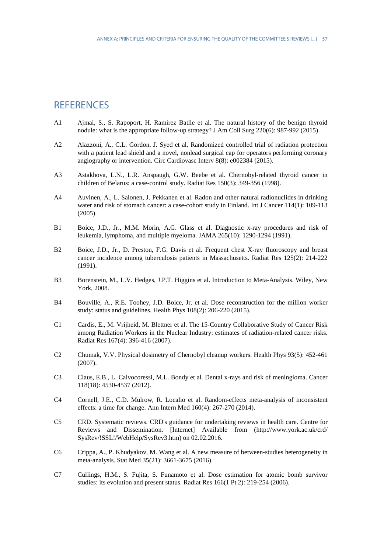# <span id="page-42-0"></span>**REFERENCES**

- A1 Ajmal, S., S. Rapoport, H. Ramirez Batlle et al. The natural history of the benign thyroid nodule: what is the appropriate follow-up strategy? J Am Coll Surg 220(6): 987-992 (2015).
- A2 Alazzoni, A., C.L. Gordon, J. Syed et al. Randomized controlled trial of radiation protection with a patient lead shield and a novel, nonlead surgical cap for operators performing coronary angiography or intervention. Circ Cardiovasc Interv 8(8): e002384 (2015).
- A3 Astakhova, L.N., L.R. Anspaugh, G.W. Beebe et al. Chernobyl-related thyroid cancer in children of Belarus: a case-control study. Radiat Res 150(3): 349-356 (1998).
- A4 Auvinen, A., L. Salonen, J. Pekkanen et al. Radon and other natural radionuclides in drinking water and risk of stomach cancer: a case-cohort study in Finland. Int J Cancer 114(1): 109-113 (2005).
- B1 Boice, J.D., Jr., M.M. Morin, A.G. Glass et al. Diagnostic x-ray procedures and risk of leukemia, lymphoma, and multiple myeloma. JAMA 265(10): 1290-1294 (1991).
- B2 Boice, J.D., Jr., D. Preston, F.G. Davis et al. Frequent chest X-ray fluoroscopy and breast cancer incidence among tuberculosis patients in Massachusetts. Radiat Res 125(2): 214-222 (1991).
- B3 Borenstein, M., L.V. Hedges, J.P.T. Higgins et al. Introduction to Meta-Analysis. Wiley, New York, 2008.
- B4 Bouville, A., R.E. Toohey, J.D. Boice, Jr. et al. Dose reconstruction for the million worker study: status and guidelines. Health Phys 108(2): 206-220 (2015).
- C1 Cardis, E., M. Vrijheid, M. Blettner et al. The 15-Country Collaborative Study of Cancer Risk among Radiation Workers in the Nuclear Industry: estimates of radiation-related cancer risks. Radiat Res 167(4): 396-416 (2007).
- C2 Chumak, V.V. Physical dosimetry of Chernobyl cleanup workers. Health Phys 93(5): 452-461 (2007).
- C3 Claus, E.B., L. Calvocoressi, M.L. Bondy et al. Dental x-rays and risk of meningioma. Cancer 118(18): 4530-4537 (2012).
- C4 Cornell, J.E., C.D. Mulrow, R. Localio et al. Random-effects meta-analysis of inconsistent effects: a time for change. Ann Intern Med 160(4): 267-270 (2014).
- C5 CRD. Systematic reviews. CRD's guidance for undertaking reviews in health care. Centre for Reviews and Dissemination. [Internet] Available from (http://www.york.ac.uk/crd/ SysRev/!SSL!/WebHelp/SysRev3.htm) on 02.02.2016.
- C6 Crippa, A., P. Khudyakov, M. Wang et al. A new measure of between-studies heterogeneity in meta-analysis. Stat Med 35(21): 3661-3675 (2016).
- C7 Cullings, H.M., S. Fujita, S. Funamoto et al. Dose estimation for atomic bomb survivor studies: its evolution and present status. Radiat Res 166(1 Pt 2): 219-254 (2006).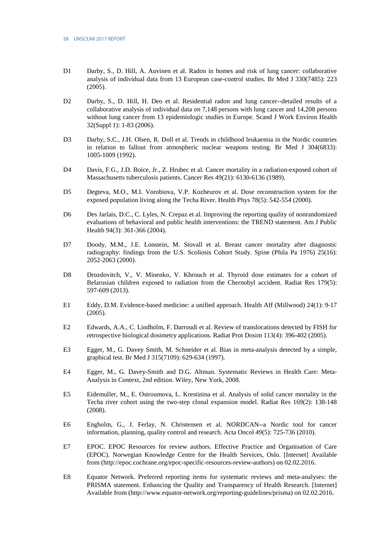- D1 Darby, S., D. Hill, A. Auvinen et al. Radon in homes and risk of lung cancer: collaborative analysis of individual data from 13 European case-control studies. Br Med J 330(7485): 223 (2005).
- D2 Darby, S., D. Hill, H. Deo et al. Residential radon and lung cancer--detailed results of a collaborative analysis of individual data on 7,148 persons with lung cancer and 14,208 persons without lung cancer from 13 epidemiologic studies in Europe. Scand J Work Environ Health 32(Suppl 1): 1-83 (2006).
- D3 Darby, S.C., J.H. Olsen, R. Doll et al. Trends in childhood leukaemia in the Nordic countries in relation to fallout from atmospheric nuclear weapons testing. Br Med J 304(6833): 1005-1009 (1992).
- D4 Davis, F.G., J.D. Boice, Jr., Z. Hrubec et al. Cancer mortality in a radiation-exposed cohort of Massachusetts tuberculosis patients. Cancer Res 49(21): 6130-6136 (1989).
- D5 Degteva, M.O., M.I. Vorobiova, V.P. Kozheurov et al. Dose reconstruction system for the exposed population living along the Techa River. Health Phys 78(5): 542-554 (2000).
- D6 Des Jarlais, D.C., C. Lyles, N. Crepaz et al. Improving the reporting quality of nonrandomized evaluations of behavioral and public health interventions: the TREND statement. Am J Public Health 94(3): 361-366 (2004).
- D7 Doody, M.M., J.E. Lonstein, M. Stovall et al. Breast cancer mortality after diagnostic radiography: findings from the U.S. Scoliosis Cohort Study. Spine (Phila Pa 1976) 25(16): 2052-2063 (2000).
- D8 Drozdovitch, V., V. Minenko, V. Khrouch et al. Thyroid dose estimates for a cohort of Belarusian children exposed to radiation from the Chernobyl accident. Radiat Res 179(5): 597-609 (2013).
- E1 Eddy, D.M. Evidence-based medicine: a unified approach. Health Aff (Millwood) 24(1): 9-17 (2005).
- E2 Edwards, A.A., C. Lindholm, F. Darroudi et al. Review of translocations detected by FISH for retrospective biological dosimetry applications. Radiat Prot Dosim 113(4): 396-402 (2005).
- E3 Egger, M., G. Davey Smith, M. Schneider et al. Bias in meta-analysis detected by a simple, graphical test. Br Med J 315(7109): 629-634 (1997).
- E4 Egger, M., G. Davey-Smith and D.G. Altman. Systematic Reviews in Health Care: Meta-Analysis in Context, 2nd edition. Wiley, New York, 2008.
- E5 Eidemuller, M., E. Ostroumova, L. Krestinina et al. Analysis of solid cancer mortality in the Techa river cohort using the two-step clonal expansion model. Radiat Res 169(2): 138-148 (2008).
- E6 Engholm, G., J. Ferlay, N. Christensen et al. NORDCAN--a Nordic tool for cancer information, planning, quality control and research. Acta Oncol 49(5): 725-736 (2010).
- E7 EPOC. EPOC Resources for review authors. Effective Practice and Organisation of Care (EPOC). Norwegian Knowledge Centre for the Health Services, Oslo. [Internet] Available from (http://epoc.cochrane.org/epoc-specific-resources-review-authors) on 02.02.2016.
- E8 Equator Network. Preferred reporting items for systematic reviews and meta-analyses: the PRISMA statement. Enhancing the Quality and Transparency of Health Research. [Internet] Available from (http://www.equator-network.org/reporting-guidelines/prisma) on 02.02.2016.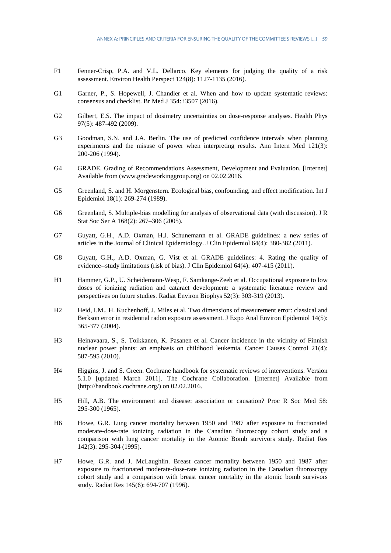- F1 Fenner-Crisp, P.A. and V.L. Dellarco. Key elements for judging the quality of a risk assessment. Environ Health Perspect 124(8): 1127-1135 (2016).
- G1 Garner, P., S. Hopewell, J. Chandler et al. When and how to update systematic reviews: consensus and checklist. Br Med J 354: i3507 (2016).
- G2 Gilbert, E.S. The impact of dosimetry uncertainties on dose-response analyses. Health Phys 97(5): 487-492 (2009).
- G3 Goodman, S.N. and J.A. Berlin. The use of predicted confidence intervals when planning experiments and the misuse of power when interpreting results. Ann Intern Med 121(3): 200-206 (1994).
- G4 GRADE. Grading of Recommendations Assessment, Development and Evaluation. [Internet] Available from (www.gradeworkinggroup.org) on 02.02.2016.
- G5 Greenland, S. and H. Morgenstern. Ecological bias, confounding, and effect modification. Int J Epidemiol 18(1): 269-274 (1989).
- G6 Greenland, S. Multiple-bias modelling for analysis of observational data (with discussion). J R Stat Soc Ser A 168(2): 267–306 (2005).
- G7 Guyatt, G.H., A.D. Oxman, H.J. Schunemann et al. GRADE guidelines: a new series of articles in the Journal of Clinical Epidemiology. J Clin Epidemiol 64(4): 380-382 (2011).
- G8 Guyatt, G.H., A.D. Oxman, G. Vist et al. GRADE guidelines: 4. Rating the quality of evidence--study limitations (risk of bias). J Clin Epidemiol 64(4): 407-415 (2011).
- H1 Hammer, G.P., U. Scheidemann-Wesp, F. Samkange-Zeeb et al. Occupational exposure to low doses of ionizing radiation and cataract development: a systematic literature review and perspectives on future studies. Radiat Environ Biophys 52(3): 303-319 (2013).
- H2 Heid, I.M., H. Kuchenhoff, J. Miles et al. Two dimensions of measurement error: classical and Berkson error in residential radon exposure assessment. J Expo Anal Environ Epidemiol 14(5): 365-377 (2004).
- H3 Heinavaara, S., S. Toikkanen, K. Pasanen et al. Cancer incidence in the vicinity of Finnish nuclear power plants: an emphasis on childhood leukemia. Cancer Causes Control 21(4): 587-595 (2010).
- H4 Higgins, J. and S. Green. Cochrane handbook for systematic reviews of interventions. Version 5.1.0 [updated March 2011]. The Cochrane Collaboration. [Internet] Available from (http://handbook.cochrane.org/) on 02.02.2016.
- H5 Hill, A.B. The environment and disease: association or causation? Proc R Soc Med 58: 295-300 (1965).
- H6 Howe, G.R. Lung cancer mortality between 1950 and 1987 after exposure to fractionated moderate-dose-rate ionizing radiation in the Canadian fluoroscopy cohort study and a comparison with lung cancer mortality in the Atomic Bomb survivors study. Radiat Res 142(3): 295-304 (1995).
- H7 Howe, G.R. and J. McLaughlin. Breast cancer mortality between 1950 and 1987 after exposure to fractionated moderate-dose-rate ionizing radiation in the Canadian fluoroscopy cohort study and a comparison with breast cancer mortality in the atomic bomb survivors study. Radiat Res 145(6): 694-707 (1996).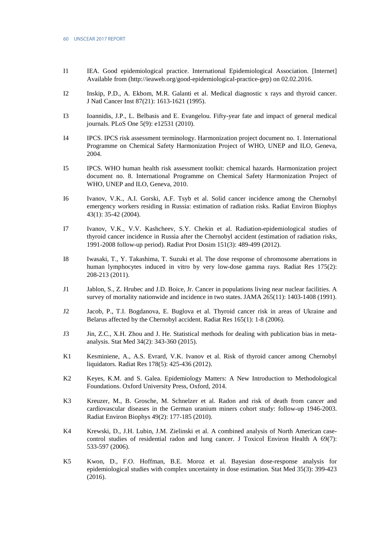- I1 IEA. Good epidemiological practice. International Epidemiological Association. [Internet] Available from (http://ieaweb.org/good-epidemiological-practice-gep) on 02.02.2016.
- I2 Inskip, P.D., A. Ekbom, M.R. Galanti et al. Medical diagnostic x rays and thyroid cancer. J Natl Cancer Inst 87(21): 1613-1621 (1995).
- I3 Ioannidis, J.P., L. Belbasis and E. Evangelou. Fifty-year fate and impact of general medical journals. PLoS One 5(9): e12531 (2010).
- I4 IPCS. IPCS risk assessment terminology. Harmonization project document no. 1. International Programme on Chemical Safety Harmonization Project of WHO, UNEP and ILO, Geneva, 2004.
- I5 IPCS. WHO human health risk assessment toolkit: chemical hazards. Harmonization project document no. 8. International Programme on Chemical Safety Harmonization Project of WHO, UNEP and ILO, Geneva, 2010.
- I6 Ivanov, V.K., A.I. Gorski, A.F. Tsyb et al. Solid cancer incidence among the Chernobyl emergency workers residing in Russia: estimation of radiation risks. Radiat Environ Biophys 43(1): 35-42 (2004).
- I7 Ivanov, V.K., V.V. Kashcheev, S.Y. Chekin et al. Radiation-epidemiological studies of thyroid cancer incidence in Russia after the Chernobyl accident (estimation of radiation risks, 1991-2008 follow-up period). Radiat Prot Dosim 151(3): 489-499 (2012).
- I8 Iwasaki, T., Y. Takashima, T. Suzuki et al. The dose response of chromosome aberrations in human lymphocytes induced in vitro by very low-dose gamma rays. Radiat Res 175(2): 208-213 (2011).
- J1 Jablon, S., Z. Hrubec and J.D. Boice, Jr. Cancer in populations living near nuclear facilities. A survey of mortality nationwide and incidence in two states. JAMA 265(11): 1403-1408 (1991).
- J2 Jacob, P., T.I. Bogdanova, E. Buglova et al. Thyroid cancer risk in areas of Ukraine and Belarus affected by the Chernobyl accident. Radiat Res 165(1): 1-8 (2006).
- J3 Jin, Z.C., X.H. Zhou and J. He. Statistical methods for dealing with publication bias in metaanalysis. Stat Med 34(2): 343-360 (2015).
- K1 Kesminiene, A., A.S. Evrard, V.K. Ivanov et al. Risk of thyroid cancer among Chernobyl liquidators. Radiat Res 178(5): 425-436 (2012).
- K2 Keyes, K.M. and S. Galea. Epidemiology Matters: A New Introduction to Methodological Foundations. Oxford University Press, Oxford, 2014.
- K3 Kreuzer, M., B. Grosche, M. Schnelzer et al. Radon and risk of death from cancer and cardiovascular diseases in the German uranium miners cohort study: follow-up 1946-2003. Radiat Environ Biophys 49(2): 177-185 (2010).
- K<sub>4</sub> Krewski, D., J.H. Lubin, J.M. Zielinski et al. A combined analysis of North American casecontrol studies of residential radon and lung cancer. J Toxicol Environ Health A 69(7): 533-597 (2006).
- K5 Kwon, D., F.O. Hoffman, B.E. Moroz et al. Bayesian dose-response analysis for epidemiological studies with complex uncertainty in dose estimation. Stat Med 35(3): 399-423 (2016).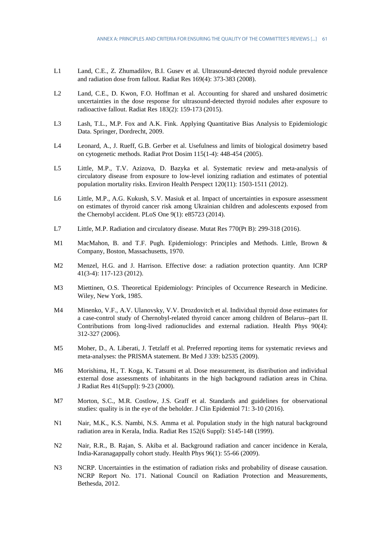- L1 Land, C.E., Z. Zhumadilov, B.I. Gusev et al. Ultrasound-detected thyroid nodule prevalence and radiation dose from fallout. Radiat Res 169(4): 373-383 (2008).
- L2 Land, C.E., D. Kwon, F.O. Hoffman et al. Accounting for shared and unshared dosimetric uncertainties in the dose response for ultrasound-detected thyroid nodules after exposure to radioactive fallout. Radiat Res 183(2): 159-173 (2015).
- L3 Lash, T.L., M.P. Fox and A.K. Fink. Applying Quantitative Bias Analysis to Epidemiologic Data. Springer, Dordrecht, 2009.
- L4 Leonard, A., J. Rueff, G.B. Gerber et al. Usefulness and limits of biological dosimetry based on cytogenetic methods. Radiat Prot Dosim 115(1-4): 448-454 (2005).
- L5 Little, M.P., T.V. Azizova, D. Bazyka et al. Systematic review and meta-analysis of circulatory disease from exposure to low-level ionizing radiation and estimates of potential population mortality risks. Environ Health Perspect 120(11): 1503-1511 (2012).
- L6 Little, M.P., A.G. Kukush, S.V. Masiuk et al. Impact of uncertainties in exposure assessment on estimates of thyroid cancer risk among Ukrainian children and adolescents exposed from the Chernobyl accident. PLoS One 9(1): e85723 (2014).
- L7 Little, M.P. Radiation and circulatory disease. Mutat Res 770(Pt B): 299-318 (2016).
- M1 MacMahon, B. and T.F. Pugh. Epidemiology: Principles and Methods. Little, Brown & Company, Boston, Massachusetts, 1970.
- M2 Menzel, H.G. and J. Harrison. Effective dose: a radiation protection quantity. Ann ICRP 41(3-4): 117-123 (2012).
- M3 Miettinen, O.S. Theoretical Epidemiology: Principles of Occurrence Research in Medicine. Wiley, New York, 1985.
- M4 Minenko, V.F., A.V. Ulanovsky, V.V. Drozdovitch et al. Individual thyroid dose estimates for a case-control study of Chernobyl-related thyroid cancer among children of Belarus--part II. Contributions from long-lived radionuclides and external radiation. Health Phys 90(4): 312-327 (2006).
- M5 Moher, D., A. Liberati, J. Tetzlaff et al. Preferred reporting items for systematic reviews and meta-analyses: the PRISMA statement. Br Med J 339: b2535 (2009).
- M6 Morishima, H., T. Koga, K. Tatsumi et al. Dose measurement, its distribution and individual external dose assessments of inhabitants in the high background radiation areas in China. J Radiat Res 41(Suppl): 9-23 (2000).
- M7 Morton, S.C., M.R. Costlow, J.S. Graff et al. Standards and guidelines for observational studies: quality is in the eye of the beholder. J Clin Epidemiol 71: 3-10 (2016).
- N1 Nair, M.K., K.S. Nambi, N.S. Amma et al. Population study in the high natural background radiation area in Kerala, India. Radiat Res 152(6 Suppl): S145-148 (1999).
- N2 Nair, R.R., B. Rajan, S. Akiba et al. Background radiation and cancer incidence in Kerala, India-Karanagappally cohort study. Health Phys 96(1): 55-66 (2009).
- N<sub>3</sub> NCRP. Uncertainties in the estimation of radiation risks and probability of disease causation. NCRP Report No. 171. National Council on Radiation Protection and Measurements, Bethesda, 2012.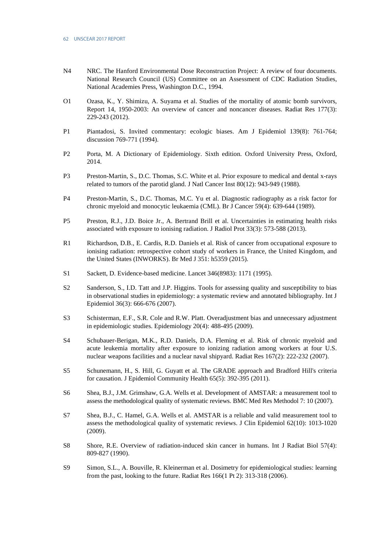- N4 NRC. The Hanford Environmental Dose Reconstruction Project: A review of four documents. National Research Council (US) Committee on an Assessment of CDC Radiation Studies, National Academies Press, Washington D.C., 1994.
- O1 Ozasa, K., Y. Shimizu, A. Suyama et al. Studies of the mortality of atomic bomb survivors, Report 14, 1950-2003: An overview of cancer and noncancer diseases. Radiat Res 177(3): 229-243 (2012).
- P1 Piantadosi, S. Invited commentary: ecologic biases. Am J Epidemiol 139(8): 761-764; discussion 769-771 (1994).
- P2 Porta, M. A Dictionary of Epidemiology. Sixth edition. Oxford University Press, Oxford, 2014.
- P3 Preston-Martin, S., D.C. Thomas, S.C. White et al. Prior exposure to medical and dental x-rays related to tumors of the parotid gland. J Natl Cancer Inst 80(12): 943-949 (1988).
- P4 Preston-Martin, S., D.C. Thomas, M.C. Yu et al. Diagnostic radiography as a risk factor for chronic myeloid and monocytic leukaemia (CML). Br J Cancer 59(4): 639-644 (1989).
- P5 Preston, R.J., J.D. Boice Jr., A. Bertrand Brill et al. Uncertainties in estimating health risks associated with exposure to ionising radiation. J Radiol Prot 33(3): 573-588 (2013).
- R1 Richardson, D.B., E. Cardis, R.D. Daniels et al. Risk of cancer from occupational exposure to ionising radiation: retrospective cohort study of workers in France, the United Kingdom, and the United States (INWORKS). Br Med J 351: h5359 (2015).
- S1 Sackett, D. Evidence-based medicine. Lancet 346(8983): 1171 (1995).
- S2 Sanderson, S., I.D. Tatt and J.P. Higgins. Tools for assessing quality and susceptibility to bias in observational studies in epidemiology: a systematic review and annotated bibliography. Int J Epidemiol 36(3): 666-676 (2007).
- S3 Schisterman, E.F., S.R. Cole and R.W. Platt. Overadjustment bias and unnecessary adjustment in epidemiologic studies. Epidemiology 20(4): 488-495 (2009).
- S4 Schubauer-Berigan, M.K., R.D. Daniels, D.A. Fleming et al. Risk of chronic myeloid and acute leukemia mortality after exposure to ionizing radiation among workers at four U.S. nuclear weapons facilities and a nuclear naval shipyard. Radiat Res 167(2): 222-232 (2007).
- S5 Schunemann, H., S. Hill, G. Guyatt et al. The GRADE approach and Bradford Hill's criteria for causation. J Epidemiol Community Health 65(5): 392-395 (2011).
- S6 Shea, B.J., J.M. Grimshaw, G.A. Wells et al. Development of AMSTAR: a measurement tool to assess the methodological quality of systematic reviews. BMC Med Res Methodol 7: 10 (2007).
- S7 Shea, B.J., C. Hamel, G.A. Wells et al. AMSTAR is a reliable and valid measurement tool to assess the methodological quality of systematic reviews. J Clin Epidemiol 62(10): 1013-1020 (2009).
- S8 Shore, R.E. Overview of radiation-induced skin cancer in humans. Int J Radiat Biol 57(4): 809-827 (1990).
- S9 Simon, S.L., A. Bouville, R. Kleinerman et al. Dosimetry for epidemiological studies: learning from the past, looking to the future. Radiat Res 166(1 Pt 2): 313-318 (2006).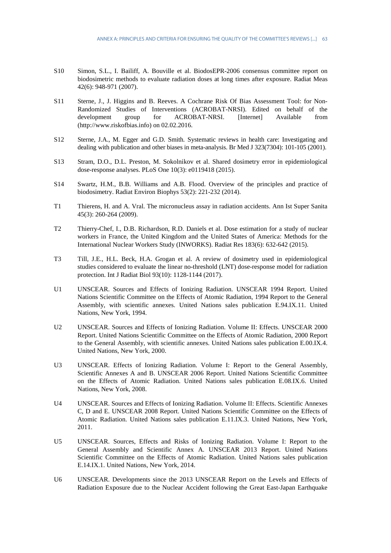- S10 Simon, S.L., I. Bailiff, A. Bouville et al. BiodosEPR-2006 consensus committee report on biodosimetric methods to evaluate radiation doses at long times after exposure. Radiat Meas 42(6): 948-971 (2007).
- S11 Sterne, J., J. Higgins and B. Reeves. A Cochrane Risk Of Bias Assessment Tool: for Non-Randomized Studies of Interventions (ACROBAT-NRSI). Edited on behalf of the development group for ACROBAT-NRSI. [Internet] Available from (http://www.riskofbias.info) on 02.02.2016.
- S12 Sterne, J.A., M. Egger and G.D. Smith. Systematic reviews in health care: Investigating and dealing with publication and other biases in meta-analysis. Br Med J 323(7304): 101-105 (2001).
- S13 Stram, D.O., D.L. Preston, M. Sokolnikov et al. Shared dosimetry error in epidemiological dose-response analyses. PLoS One 10(3): e0119418 (2015).
- S14 Swartz, H.M., B.B. Williams and A.B. Flood. Overview of the principles and practice of biodosimetry. Radiat Environ Biophys 53(2): 221-232 (2014).
- T1 Thierens, H. and A. Vral. The micronucleus assay in radiation accidents. Ann Ist Super Sanita 45(3): 260-264 (2009).
- T2 Thierry-Chef, I., D.B. Richardson, R.D. Daniels et al. Dose estimation for a study of nuclear workers in France, the United Kingdom and the United States of America: Methods for the International Nuclear Workers Study (INWORKS). Radiat Res 183(6): 632-642 (2015).
- T3 Till, J.E., H.L. Beck, H.A. Grogan et al. A review of dosimetry used in epidemiological studies considered to evaluate the linear no-threshold (LNT) dose-response model for radiation protection. Int J Radiat Biol 93(10): 1128-1144 (2017).
- U1 UNSCEAR. Sources and Effects of Ionizing Radiation. UNSCEAR 1994 Report. United Nations Scientific Committee on the Effects of Atomic Radiation, 1994 Report to the General Assembly, with scientific annexes. United Nations sales publication E.94.IX.11. United Nations, New York, 1994.
- U2 UNSCEAR. Sources and Effects of Ionizing Radiation. Volume II: Effects. UNSCEAR 2000 Report. United Nations Scientific Committee on the Effects of Atomic Radiation, 2000 Report to the General Assembly, with scientific annexes. United Nations sales publication E.00.IX.4. United Nations, New York, 2000.
- U3 UNSCEAR. Effects of Ionizing Radiation. Volume I: Report to the General Assembly, Scientific Annexes A and B. UNSCEAR 2006 Report. United Nations Scientific Committee on the Effects of Atomic Radiation. United Nations sales publication E.08.IX.6. United Nations, New York, 2008.
- U4 UNSCEAR. Sources and Effects of Ionizing Radiation. Volume II: Effects. Scientific Annexes C, D and E. UNSCEAR 2008 Report. United Nations Scientific Committee on the Effects of Atomic Radiation. United Nations sales publication E.11.IX.3. United Nations, New York, 2011.
- U5 UNSCEAR. Sources, Effects and Risks of Ionizing Radiation. Volume I: Report to the General Assembly and Scientific Annex A. UNSCEAR 2013 Report. United Nations Scientific Committee on the Effects of Atomic Radiation. United Nations sales publication E.14.IX.1. United Nations, New York, 2014.
- U6 UNSCEAR. Developments since the 2013 UNSCEAR Report on the Levels and Effects of Radiation Exposure due to the Nuclear Accident following the Great East-Japan Earthquake